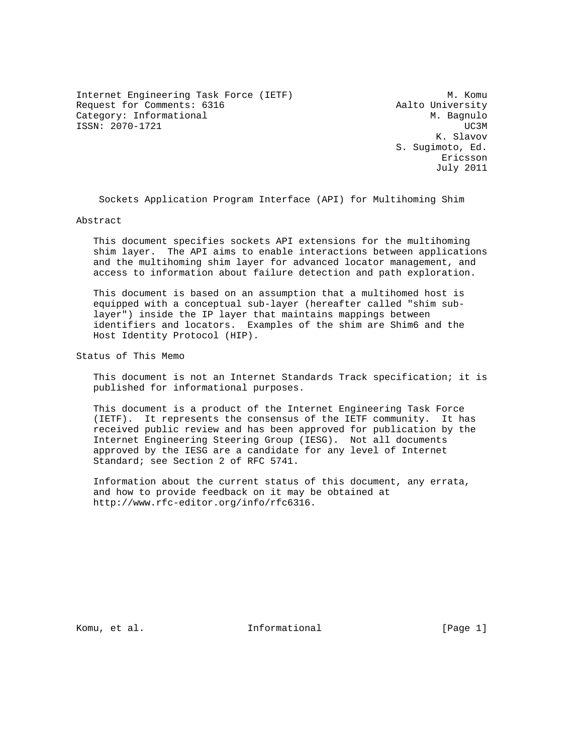Internet Engineering Task Force (IETF) M. Komu Request for Comments: 6316 Aalto University Category: Informational M. Bagnulo ISSN: 2070-1721 UC3M

 K. Slavov S. Sugimoto, Ed. Ericsson July 2011

Sockets Application Program Interface (API) for Multihoming Shim

Abstract

 This document specifies sockets API extensions for the multihoming shim layer. The API aims to enable interactions between applications and the multihoming shim layer for advanced locator management, and access to information about failure detection and path exploration.

 This document is based on an assumption that a multihomed host is equipped with a conceptual sub-layer (hereafter called "shim sub layer") inside the IP layer that maintains mappings between identifiers and locators. Examples of the shim are Shim6 and the Host Identity Protocol (HIP).

Status of This Memo

 This document is not an Internet Standards Track specification; it is published for informational purposes.

 This document is a product of the Internet Engineering Task Force (IETF). It represents the consensus of the IETF community. It has received public review and has been approved for publication by the Internet Engineering Steering Group (IESG). Not all documents approved by the IESG are a candidate for any level of Internet Standard; see Section 2 of RFC 5741.

 Information about the current status of this document, any errata, and how to provide feedback on it may be obtained at http://www.rfc-editor.org/info/rfc6316.

Komu, et al. Informational [Page 1]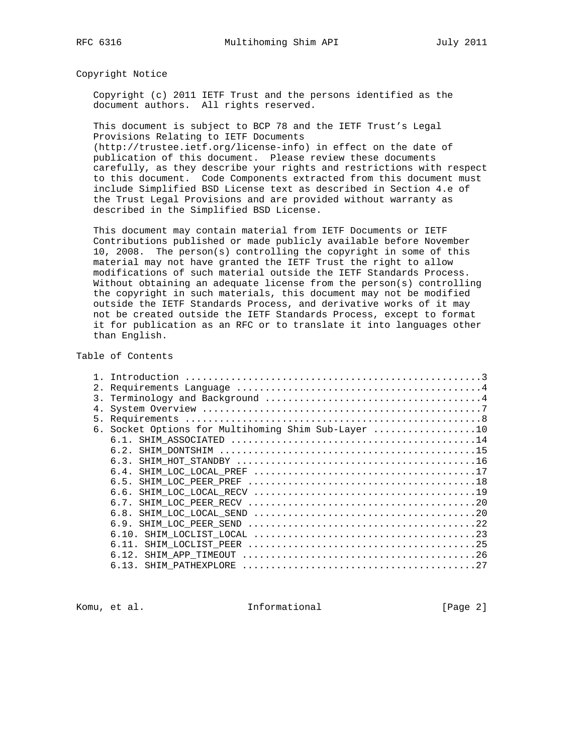Copyright Notice

 Copyright (c) 2011 IETF Trust and the persons identified as the document authors. All rights reserved.

 This document is subject to BCP 78 and the IETF Trust's Legal Provisions Relating to IETF Documents

 (http://trustee.ietf.org/license-info) in effect on the date of publication of this document. Please review these documents carefully, as they describe your rights and restrictions with respect to this document. Code Components extracted from this document must include Simplified BSD License text as described in Section 4.e of the Trust Legal Provisions and are provided without warranty as described in the Simplified BSD License.

 This document may contain material from IETF Documents or IETF Contributions published or made publicly available before November 10, 2008. The person(s) controlling the copyright in some of this material may not have granted the IETF Trust the right to allow modifications of such material outside the IETF Standards Process. Without obtaining an adequate license from the person(s) controlling the copyright in such materials, this document may not be modified outside the IETF Standards Process, and derivative works of it may not be created outside the IETF Standards Process, except to format it for publication as an RFC or to translate it into languages other than English.

#### Table of Contents

|                  | Introduction                                     |
|------------------|--------------------------------------------------|
| 2.               |                                                  |
| $\overline{3}$ . |                                                  |
| 4.               |                                                  |
| 5.               |                                                  |
| б.               | Socket Options for Multihoming Shim Sub-Layer 10 |
|                  |                                                  |
|                  | 6.2.                                             |
|                  |                                                  |
|                  |                                                  |
|                  |                                                  |
|                  |                                                  |
|                  |                                                  |
|                  |                                                  |
|                  | 6.9.                                             |
|                  |                                                  |
|                  | 6.11.                                            |
|                  | SHIM APP TIMEOUT<br>6.12.                        |
|                  | SHIM PATHEXPLORE<br>6.13.                        |
|                  |                                                  |

Komu, et al. 10. Informational 1. [Page 2]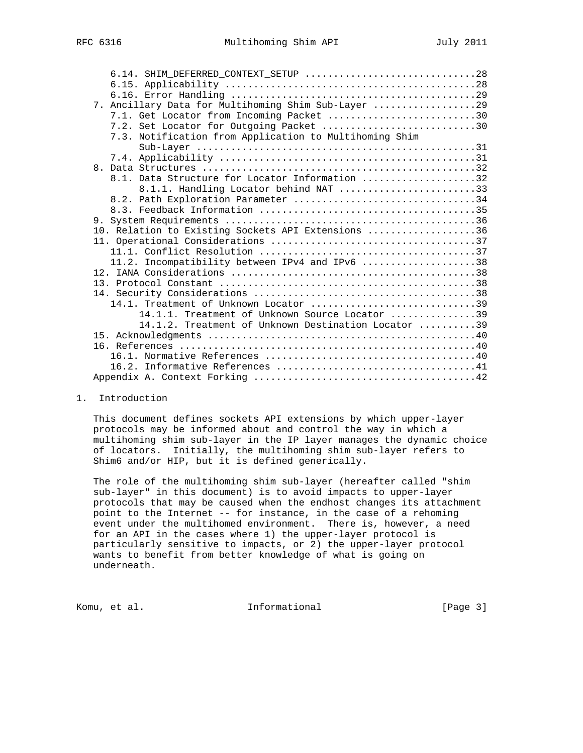| 6.14. SHIM_DEFERRED_CONTEXT_SETUP 28                                                    |  |
|-----------------------------------------------------------------------------------------|--|
|                                                                                         |  |
|                                                                                         |  |
| 7. Ancillary Data for Multihoming Shim Sub-Layer 29                                     |  |
| 7.1. Get Locator from Incoming Packet 30                                                |  |
| 7.2. Set Locator for Outgoing Packet 30                                                 |  |
| 7.3. Notification from Application to Multihoming Shim                                  |  |
|                                                                                         |  |
|                                                                                         |  |
| $\mathsf{R}$                                                                            |  |
| 8.1. Data Structure for Locator Information 32                                          |  |
| 8.1.1. Handling Locator behind NAT 33                                                   |  |
| 8.2. Path Exploration Parameter 34                                                      |  |
|                                                                                         |  |
|                                                                                         |  |
| 10. Relation to Existing Sockets API Extensions 36                                      |  |
|                                                                                         |  |
|                                                                                         |  |
| 11.2. Incompatibility between IPv4 and IPv6 38                                          |  |
|                                                                                         |  |
|                                                                                         |  |
|                                                                                         |  |
| 14.1. Treatment of Unknown Locator $\ldots, \ldots, \ldots, \ldots, \ldots, \ldots, 39$ |  |
| 14.1.1. Treatment of Unknown Source Locator 39                                          |  |
| 14.1.2. Treatment of Unknown Destination Locator 39                                     |  |
|                                                                                         |  |
|                                                                                         |  |
|                                                                                         |  |
|                                                                                         |  |
|                                                                                         |  |

1. Introduction

 This document defines sockets API extensions by which upper-layer protocols may be informed about and control the way in which a multihoming shim sub-layer in the IP layer manages the dynamic choice of locators. Initially, the multihoming shim sub-layer refers to Shim6 and/or HIP, but it is defined generically.

 The role of the multihoming shim sub-layer (hereafter called "shim sub-layer" in this document) is to avoid impacts to upper-layer protocols that may be caused when the endhost changes its attachment point to the Internet -- for instance, in the case of a rehoming event under the multihomed environment. There is, however, a need for an API in the cases where 1) the upper-layer protocol is particularly sensitive to impacts, or 2) the upper-layer protocol wants to benefit from better knowledge of what is going on underneath.

Komu, et al. 10. Informational 1. [Page 3]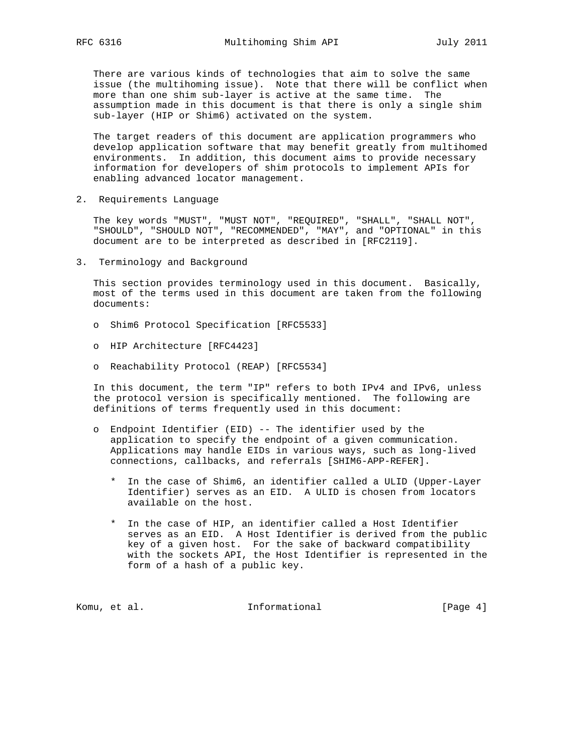There are various kinds of technologies that aim to solve the same issue (the multihoming issue). Note that there will be conflict when more than one shim sub-layer is active at the same time. The assumption made in this document is that there is only a single shim sub-layer (HIP or Shim6) activated on the system.

 The target readers of this document are application programmers who develop application software that may benefit greatly from multihomed environments. In addition, this document aims to provide necessary information for developers of shim protocols to implement APIs for enabling advanced locator management.

2. Requirements Language

 The key words "MUST", "MUST NOT", "REQUIRED", "SHALL", "SHALL NOT", "SHOULD", "SHOULD NOT", "RECOMMENDED", "MAY", and "OPTIONAL" in this document are to be interpreted as described in [RFC2119].

3. Terminology and Background

 This section provides terminology used in this document. Basically, most of the terms used in this document are taken from the following documents:

- o Shim6 Protocol Specification [RFC5533]
- o HIP Architecture [RFC4423]
- o Reachability Protocol (REAP) [RFC5534]

 In this document, the term "IP" refers to both IPv4 and IPv6, unless the protocol version is specifically mentioned. The following are definitions of terms frequently used in this document:

- o Endpoint Identifier (EID) -- The identifier used by the application to specify the endpoint of a given communication. Applications may handle EIDs in various ways, such as long-lived connections, callbacks, and referrals [SHIM6-APP-REFER].
	- \* In the case of Shim6, an identifier called a ULID (Upper-Layer Identifier) serves as an EID. A ULID is chosen from locators available on the host.
	- \* In the case of HIP, an identifier called a Host Identifier serves as an EID. A Host Identifier is derived from the public key of a given host. For the sake of backward compatibility with the sockets API, the Host Identifier is represented in the form of a hash of a public key.

Komu, et al. 10. Informational 1. [Page 4]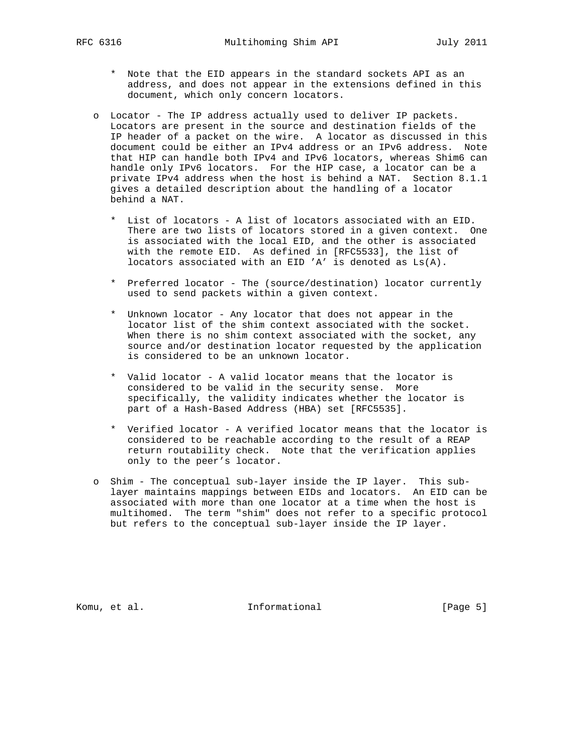- \* Note that the EID appears in the standard sockets API as an address, and does not appear in the extensions defined in this document, which only concern locators.
- o Locator The IP address actually used to deliver IP packets. Locators are present in the source and destination fields of the IP header of a packet on the wire. A locator as discussed in this document could be either an IPv4 address or an IPv6 address. Note that HIP can handle both IPv4 and IPv6 locators, whereas Shim6 can handle only IPv6 locators. For the HIP case, a locator can be a private IPv4 address when the host is behind a NAT. Section 8.1.1 gives a detailed description about the handling of a locator behind a NAT.
	- \* List of locators A list of locators associated with an EID. There are two lists of locators stored in a given context. One is associated with the local EID, and the other is associated with the remote EID. As defined in [RFC5533], the list of locators associated with an EID 'A' is denoted as Ls(A).
	- \* Preferred locator The (source/destination) locator currently used to send packets within a given context.
	- \* Unknown locator Any locator that does not appear in the locator list of the shim context associated with the socket. When there is no shim context associated with the socket, any source and/or destination locator requested by the application is considered to be an unknown locator.
	- \* Valid locator A valid locator means that the locator is considered to be valid in the security sense. More specifically, the validity indicates whether the locator is part of a Hash-Based Address (HBA) set [RFC5535].
	- \* Verified locator A verified locator means that the locator is considered to be reachable according to the result of a REAP return routability check. Note that the verification applies only to the peer's locator.
- o Shim The conceptual sub-layer inside the IP layer. This sub layer maintains mappings between EIDs and locators. An EID can be associated with more than one locator at a time when the host is multihomed. The term "shim" does not refer to a specific protocol but refers to the conceptual sub-layer inside the IP layer.

Komu, et al. 10. Informational 1. [Page 5]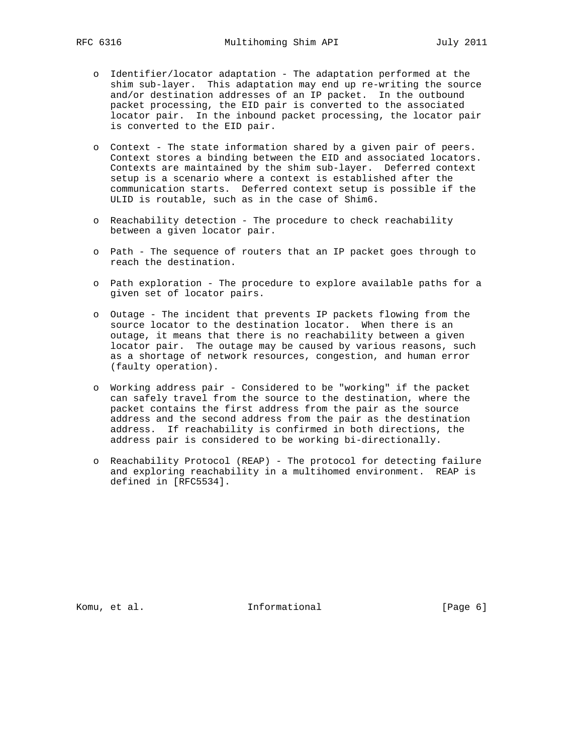- o Identifier/locator adaptation The adaptation performed at the shim sub-layer. This adaptation may end up re-writing the source and/or destination addresses of an IP packet. In the outbound packet processing, the EID pair is converted to the associated locator pair. In the inbound packet processing, the locator pair is converted to the EID pair.
- o Context The state information shared by a given pair of peers. Context stores a binding between the EID and associated locators. Contexts are maintained by the shim sub-layer. Deferred context setup is a scenario where a context is established after the communication starts. Deferred context setup is possible if the ULID is routable, such as in the case of Shim6.
- o Reachability detection The procedure to check reachability between a given locator pair.
- o Path The sequence of routers that an IP packet goes through to reach the destination.
- o Path exploration The procedure to explore available paths for a given set of locator pairs.
- o Outage The incident that prevents IP packets flowing from the source locator to the destination locator. When there is an outage, it means that there is no reachability between a given locator pair. The outage may be caused by various reasons, such as a shortage of network resources, congestion, and human error (faulty operation).
- o Working address pair Considered to be "working" if the packet can safely travel from the source to the destination, where the packet contains the first address from the pair as the source address and the second address from the pair as the destination address. If reachability is confirmed in both directions, the address pair is considered to be working bi-directionally.
- o Reachability Protocol (REAP) The protocol for detecting failure and exploring reachability in a multihomed environment. REAP is defined in [RFC5534].

Komu, et al. 10 mm informational 11 mm informational [Page 6]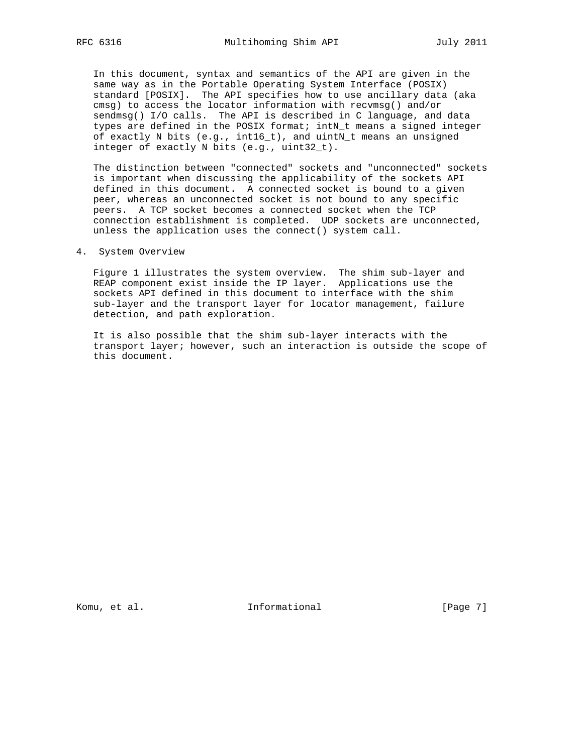In this document, syntax and semantics of the API are given in the same way as in the Portable Operating System Interface (POSIX) standard [POSIX]. The API specifies how to use ancillary data (aka cmsg) to access the locator information with recvmsg() and/or sendmsg() I/O calls. The API is described in C language, and data types are defined in the POSIX format; intN\_t means a signed integer of exactly N bits (e.g., int16\_t), and uintN\_t means an unsigned integer of exactly N bits (e.g., uint32\_t).

 The distinction between "connected" sockets and "unconnected" sockets is important when discussing the applicability of the sockets API defined in this document. A connected socket is bound to a given peer, whereas an unconnected socket is not bound to any specific peers. A TCP socket becomes a connected socket when the TCP connection establishment is completed. UDP sockets are unconnected, unless the application uses the connect() system call.

4. System Overview

 Figure 1 illustrates the system overview. The shim sub-layer and REAP component exist inside the IP layer. Applications use the sockets API defined in this document to interface with the shim sub-layer and the transport layer for locator management, failure detection, and path exploration.

 It is also possible that the shim sub-layer interacts with the transport layer; however, such an interaction is outside the scope of this document.

Komu, et al. 10. Informational 1. [Page 7]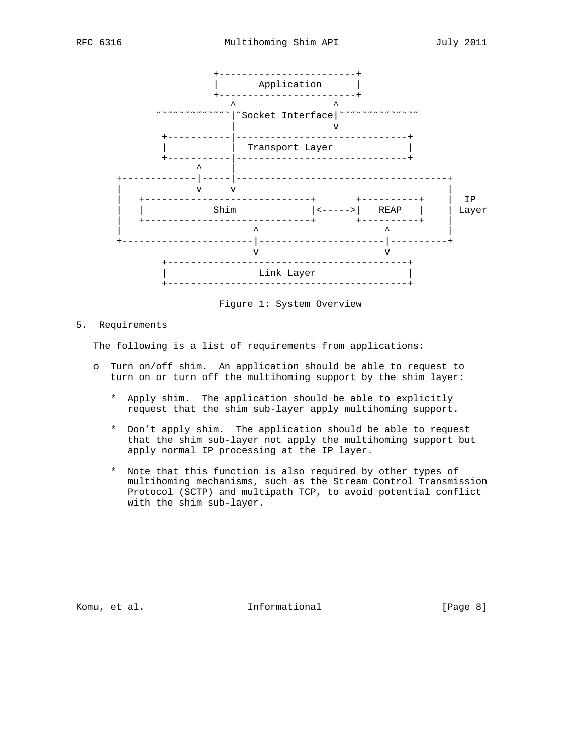

Figure 1: System Overview

5. Requirements

The following is a list of requirements from applications:

- o Turn on/off shim. An application should be able to request to turn on or turn off the multihoming support by the shim layer:
	- \* Apply shim. The application should be able to explicitly request that the shim sub-layer apply multihoming support.
	- \* Don't apply shim. The application should be able to request that the shim sub-layer not apply the multihoming support but apply normal IP processing at the IP layer.
	- \* Note that this function is also required by other types of multihoming mechanisms, such as the Stream Control Transmission Protocol (SCTP) and multipath TCP, to avoid potential conflict with the shim sub-layer.

Komu, et al. 10 millional 11 million and Theorem at Informational (Page 8)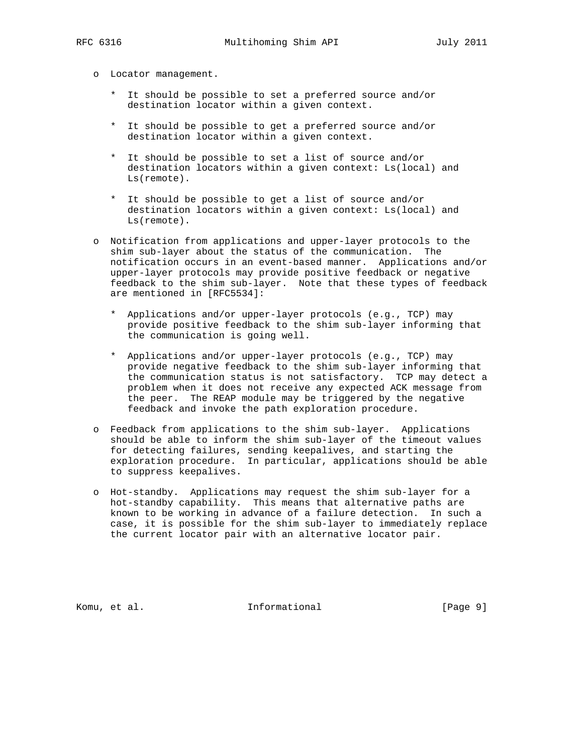- o Locator management.
	- \* It should be possible to set a preferred source and/or destination locator within a given context.
	- \* It should be possible to get a preferred source and/or destination locator within a given context.
	- \* It should be possible to set a list of source and/or destination locators within a given context: Ls(local) and Ls(remote).
	- \* It should be possible to get a list of source and/or destination locators within a given context: Ls(local) and Ls(remote).
- o Notification from applications and upper-layer protocols to the shim sub-layer about the status of the communication. The notification occurs in an event-based manner. Applications and/or upper-layer protocols may provide positive feedback or negative feedback to the shim sub-layer. Note that these types of feedback are mentioned in [RFC5534]:
	- \* Applications and/or upper-layer protocols (e.g., TCP) may provide positive feedback to the shim sub-layer informing that the communication is going well.
	- \* Applications and/or upper-layer protocols (e.g., TCP) may provide negative feedback to the shim sub-layer informing that the communication status is not satisfactory. TCP may detect a problem when it does not receive any expected ACK message from the peer. The REAP module may be triggered by the negative feedback and invoke the path exploration procedure.
- o Feedback from applications to the shim sub-layer. Applications should be able to inform the shim sub-layer of the timeout values for detecting failures, sending keepalives, and starting the exploration procedure. In particular, applications should be able to suppress keepalives.
- o Hot-standby. Applications may request the shim sub-layer for a hot-standby capability. This means that alternative paths are known to be working in advance of a failure detection. In such a case, it is possible for the shim sub-layer to immediately replace the current locator pair with an alternative locator pair.

Komu, et al. 10. Informational 1. [Page 9]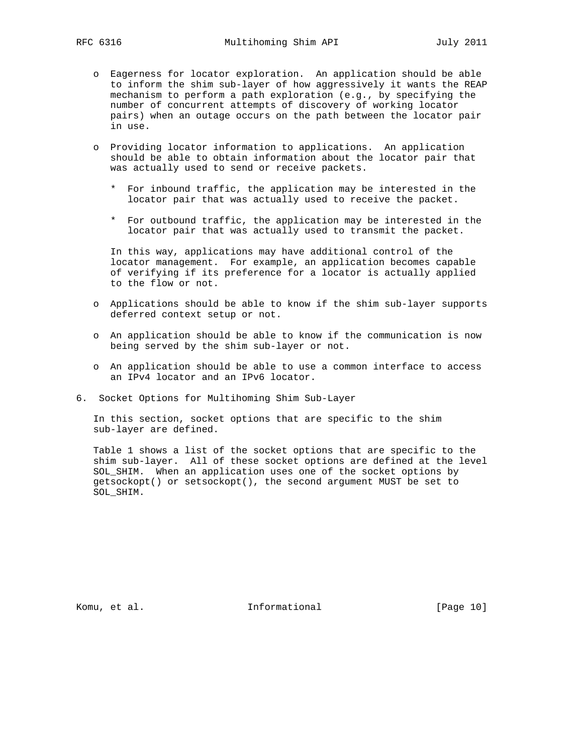- o Eagerness for locator exploration. An application should be able to inform the shim sub-layer of how aggressively it wants the REAP mechanism to perform a path exploration (e.g., by specifying the number of concurrent attempts of discovery of working locator pairs) when an outage occurs on the path between the locator pair in use.
- o Providing locator information to applications. An application should be able to obtain information about the locator pair that was actually used to send or receive packets.
	- \* For inbound traffic, the application may be interested in the locator pair that was actually used to receive the packet.
	- \* For outbound traffic, the application may be interested in the locator pair that was actually used to transmit the packet.

 In this way, applications may have additional control of the locator management. For example, an application becomes capable of verifying if its preference for a locator is actually applied to the flow or not.

- o Applications should be able to know if the shim sub-layer supports deferred context setup or not.
- o An application should be able to know if the communication is now being served by the shim sub-layer or not.
- o An application should be able to use a common interface to access an IPv4 locator and an IPv6 locator.
- 6. Socket Options for Multihoming Shim Sub-Layer

 In this section, socket options that are specific to the shim sub-layer are defined.

 Table 1 shows a list of the socket options that are specific to the shim sub-layer. All of these socket options are defined at the level SOL\_SHIM. When an application uses one of the socket options by getsockopt() or setsockopt(), the second argument MUST be set to SOL\_SHIM.

Komu, et al. 10 mm informational [Page 10]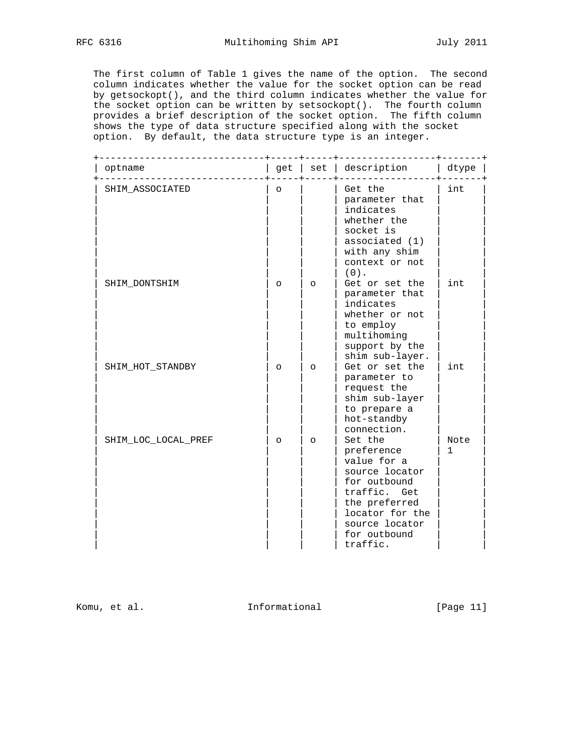The first column of Table 1 gives the name of the option. The second column indicates whether the value for the socket option can be read by getsockopt(), and the third column indicates whether the value for the socket option can be written by setsockopt(). The fourth column provides a brief description of the socket option. The fifth column shows the type of data structure specified along with the socket option. By default, the data structure type is an integer.

| optname             | get     | set     | description                                                                                                                                                              | dtype     |
|---------------------|---------|---------|--------------------------------------------------------------------------------------------------------------------------------------------------------------------------|-----------|
| SHIM_ASSOCIATED     | $\circ$ |         | Get the<br>parameter that<br>indicates<br>whether the<br>socket is<br>associated $(1)$<br>with any shim<br>context or not<br>$(0)$ .                                     | int       |
| SHIM DONTSHIM       | $\circ$ | $\circ$ | Get or set the<br>parameter that<br>indicates<br>whether or not<br>to employ<br>multihoming<br>support by the<br>shim sub-layer.                                         | int       |
| SHIM HOT STANDBY    | $\circ$ | $\circ$ | Get or set the<br>parameter to<br>request the<br>shim sub-layer<br>to prepare a<br>hot-standby<br>connection.                                                            | int       |
| SHIM_LOC_LOCAL_PREF | $\circ$ | $\circ$ | Set the<br>preference<br>value for a<br>source locator<br>for outbound<br>traffic. Get<br>the preferred<br>locator for the<br>source locator<br>for outbound<br>traffic. | Note<br>1 |

Komu, et al. 10. Informational 1. [Page 11]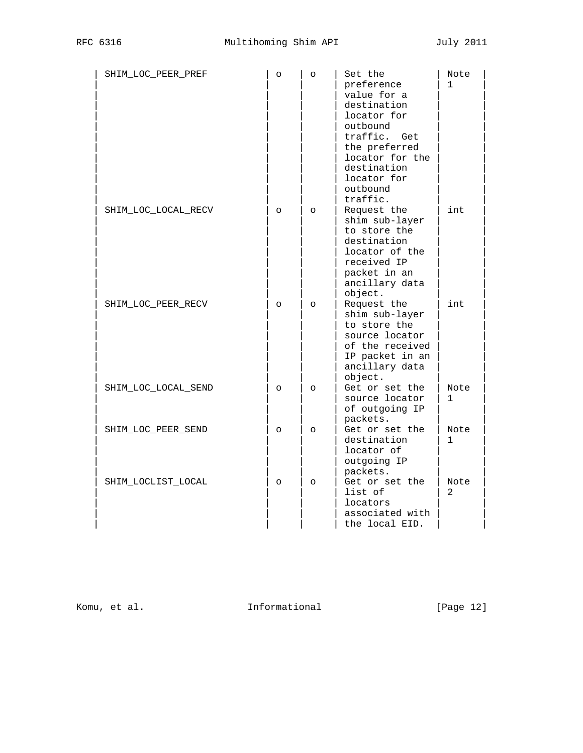| SHIM_LOC_PEER_PREF  | $\circ$  | $\circ$  | Set the<br>preference<br>value for a<br>destination<br>locator for<br>outbound<br>traffic.<br>Get<br>the preferred<br>locator for the<br>destination<br>locator for<br>outbound<br>traffic. | Note<br>$\mathbf{1}$ |
|---------------------|----------|----------|---------------------------------------------------------------------------------------------------------------------------------------------------------------------------------------------|----------------------|
| SHIM LOC LOCAL RECV | $\circ$  | $\circ$  | Request the<br>shim sub-layer<br>to store the<br>destination<br>locator of the<br>received IP<br>packet in an<br>ancillary data<br>object.                                                  | int                  |
| SHIM_LOC_PEER_RECV  | $\Omega$ | $\Omega$ | Request the<br>shim sub-layer<br>to store the<br>source locator<br>of the received<br>IP packet in an<br>ancillary data<br>object.                                                          | int                  |
| SHIM_LOC_LOCAL_SEND | $\circ$  | $\circ$  | Get or set the<br>source locator<br>of outgoing IP<br>packets.                                                                                                                              | Note<br>1            |
| SHIM_LOC_PEER_SEND  | $\circ$  | $\circ$  | Get or set the<br>destination<br>locator of<br>outgoing IP<br>packets.                                                                                                                      | Note<br>$\mathbf{1}$ |
| SHIM LOCLIST LOCAL  | $\circ$  | $\circ$  | Get or set the<br>list of<br>locators<br>associated with<br>the local EID.                                                                                                                  | Note<br>2            |

Komu, et al. 10 1nformational 1999 [Page 12]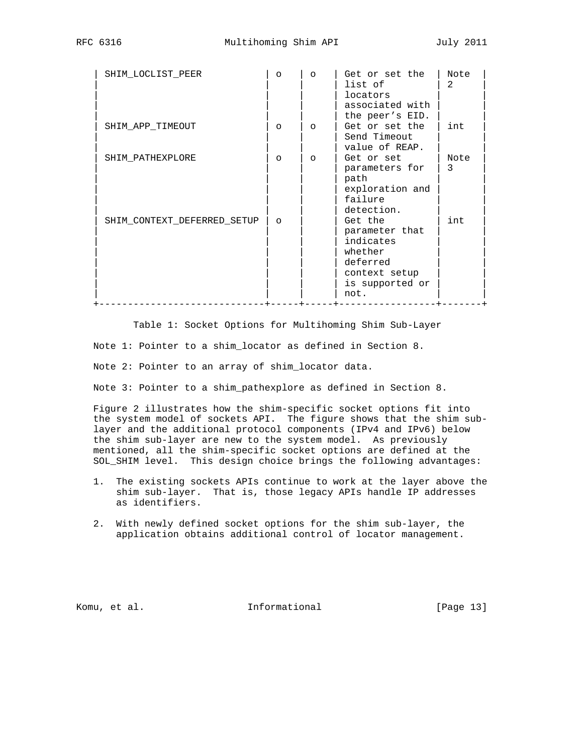| SHIM_LOCLIST_PEER           | $\circ$  | $\circ$  | Get or set the<br>list of<br>locators<br>associated with<br>the peer's EID.                               | Note<br>$\mathfrak{D}$ |
|-----------------------------|----------|----------|-----------------------------------------------------------------------------------------------------------|------------------------|
| SHIM APP TIMEOUT            | $\circ$  | $\Omega$ | Get or set the<br>Send Timeout<br>value of REAP.                                                          | int                    |
| SHIM PATHEXPLORE            | $\circ$  | $\circ$  | Get or set<br>parameters for<br>path<br>exploration and<br>failure<br>detection.                          | Note<br>3              |
| SHIM CONTEXT DEFERRED SETUP | $\Omega$ |          | Get the<br>parameter that<br>indicates<br>whether<br>deferred<br>context setup<br>is supported or<br>not. | int                    |

 Table 1: Socket Options for Multihoming Shim Sub-Layer Note 1: Pointer to a shim\_locator as defined in Section 8.

Note 2: Pointer to an array of shim\_locator data.

Note 3: Pointer to a shim\_pathexplore as defined in Section 8.

 Figure 2 illustrates how the shim-specific socket options fit into the system model of sockets API. The figure shows that the shim sub layer and the additional protocol components (IPv4 and IPv6) below the shim sub-layer are new to the system model. As previously mentioned, all the shim-specific socket options are defined at the SOL\_SHIM level. This design choice brings the following advantages:

- 1. The existing sockets APIs continue to work at the layer above the shim sub-layer. That is, those legacy APIs handle IP addresses as identifiers.
- 2. With newly defined socket options for the shim sub-layer, the application obtains additional control of locator management.

Komu, et al. Informational [Page 13]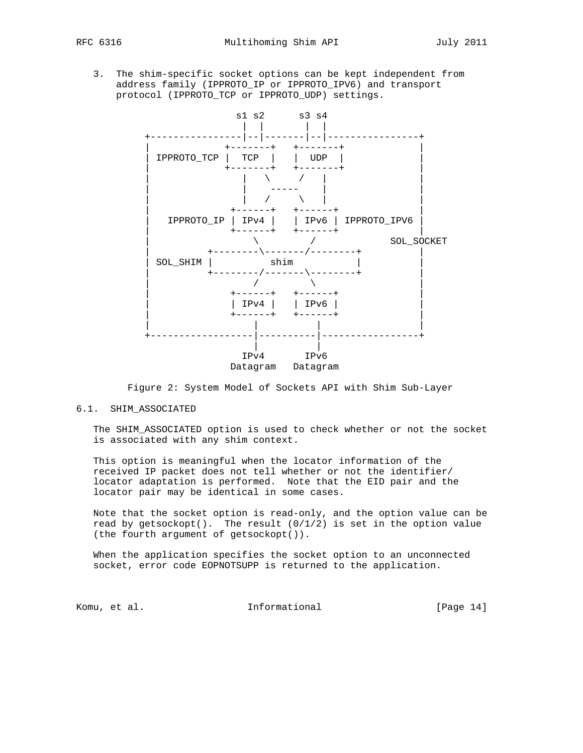3. The shim-specific socket options can be kept independent from address family (IPPROTO\_IP or IPPROTO\_IPV6) and transport protocol (IPPROTO\_TCP or IPPROTO\_UDP) settings.



Figure 2: System Model of Sockets API with Shim Sub-Layer

## 6.1. SHIM\_ASSOCIATED

 The SHIM\_ASSOCIATED option is used to check whether or not the socket is associated with any shim context.

 This option is meaningful when the locator information of the received IP packet does not tell whether or not the identifier/ locator adaptation is performed. Note that the EID pair and the locator pair may be identical in some cases.

 Note that the socket option is read-only, and the option value can be read by getsockopt(). The result  $(0/1/2)$  is set in the option value (the fourth argument of getsockopt()).

 When the application specifies the socket option to an unconnected socket, error code EOPNOTSUPP is returned to the application.

Komu, et al. 10. Informational 1. [Page 14]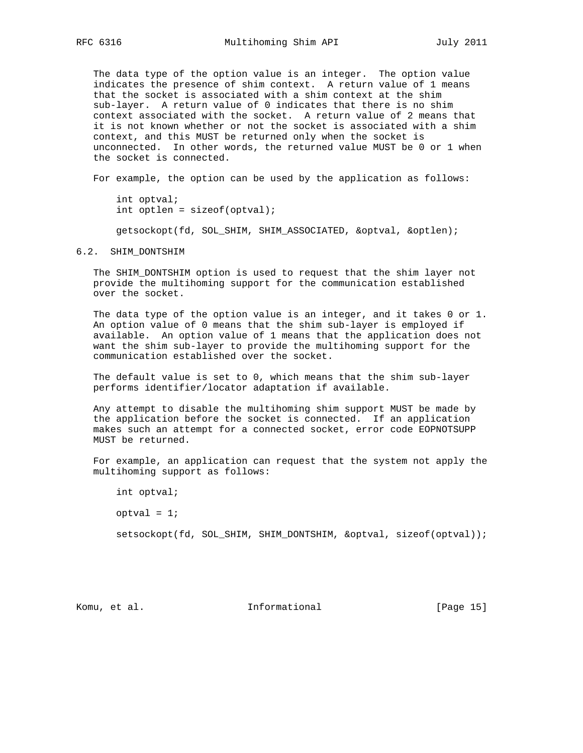The data type of the option value is an integer. The option value indicates the presence of shim context. A return value of 1 means that the socket is associated with a shim context at the shim sub-layer. A return value of 0 indicates that there is no shim context associated with the socket. A return value of 2 means that it is not known whether or not the socket is associated with a shim context, and this MUST be returned only when the socket is unconnected. In other words, the returned value MUST be 0 or 1 when the socket is connected.

For example, the option can be used by the application as follows:

 int optval; int optlen =  $sizeof(optval);$ 

getsockopt(fd, SOL\_SHIM, SHIM\_ASSOCIATED, &optval, &optlen);

### 6.2. SHIM\_DONTSHIM

 The SHIM\_DONTSHIM option is used to request that the shim layer not provide the multihoming support for the communication established over the socket.

 The data type of the option value is an integer, and it takes 0 or 1. An option value of 0 means that the shim sub-layer is employed if available. An option value of 1 means that the application does not want the shim sub-layer to provide the multihoming support for the communication established over the socket.

 The default value is set to 0, which means that the shim sub-layer performs identifier/locator adaptation if available.

 Any attempt to disable the multihoming shim support MUST be made by the application before the socket is connected. If an application makes such an attempt for a connected socket, error code EOPNOTSUPP MUST be returned.

 For example, an application can request that the system not apply the multihoming support as follows:

int optval;

 $optval = 1;$ 

setsockopt(fd, SOL\_SHIM, SHIM\_DONTSHIM, &optval, sizeof(optval));

Komu, et al. 10. Informational 1. [Page 15]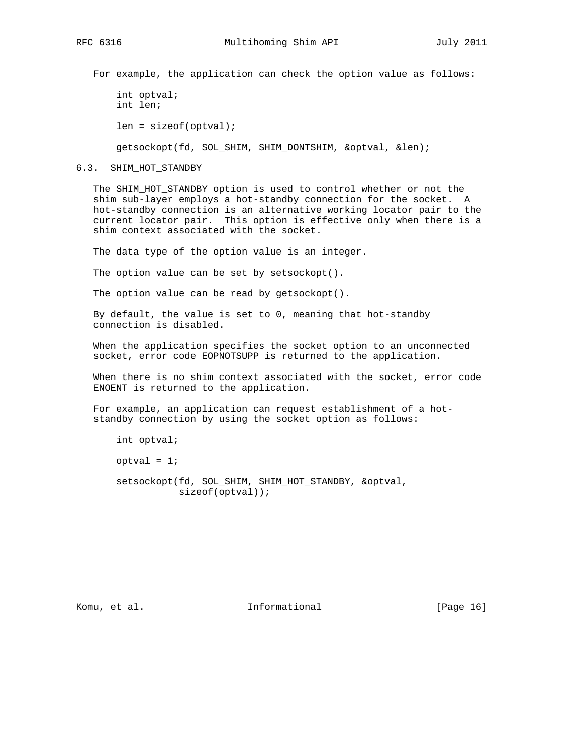For example, the application can check the option value as follows:

```
 int optval;
 int len;
 len = sizeof(optval);
 getsockopt(fd, SOL_SHIM, SHIM_DONTSHIM, &optval, &len);
```
6.3. SHIM\_HOT\_STANDBY

 The SHIM\_HOT\_STANDBY option is used to control whether or not the shim sub-layer employs a hot-standby connection for the socket. A hot-standby connection is an alternative working locator pair to the current locator pair. This option is effective only when there is a shim context associated with the socket.

The data type of the option value is an integer.

The option value can be set by setsockopt().

The option value can be read by getsockopt().

 By default, the value is set to 0, meaning that hot-standby connection is disabled.

 When the application specifies the socket option to an unconnected socket, error code EOPNOTSUPP is returned to the application.

 When there is no shim context associated with the socket, error code ENOENT is returned to the application.

 For example, an application can request establishment of a hot standby connection by using the socket option as follows:

```
 int optval;
optval = 1;
 setsockopt(fd, SOL_SHIM, SHIM_HOT_STANDBY, &optval,
            sizeof(optval));
```
Komu, et al. 10. Informational 1. [Page 16]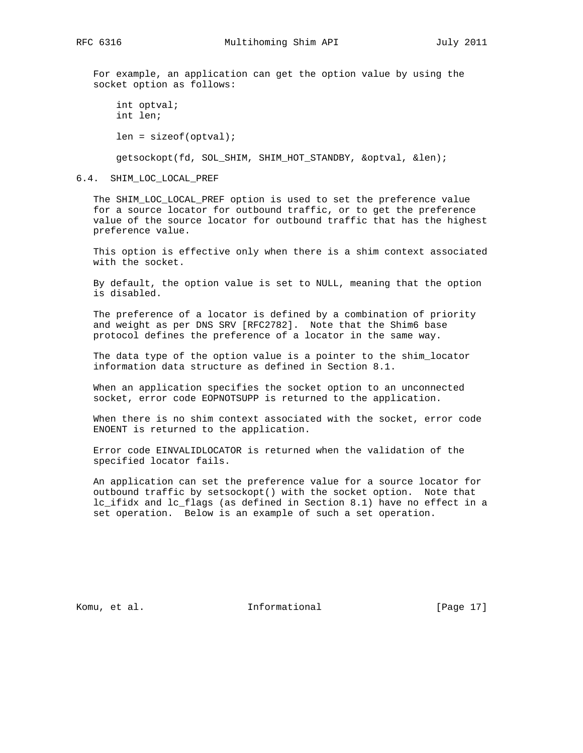For example, an application can get the option value by using the socket option as follows:

```
 int optval;
 int len;
 len = sizeof(optval);
 getsockopt(fd, SOL_SHIM, SHIM_HOT_STANDBY, &optval, &len);
```
#### 6.4. SHIM\_LOC\_LOCAL\_PREF

 The SHIM\_LOC\_LOCAL\_PREF option is used to set the preference value for a source locator for outbound traffic, or to get the preference value of the source locator for outbound traffic that has the highest preference value.

 This option is effective only when there is a shim context associated with the socket.

 By default, the option value is set to NULL, meaning that the option is disabled.

 The preference of a locator is defined by a combination of priority and weight as per DNS SRV [RFC2782]. Note that the Shim6 base protocol defines the preference of a locator in the same way.

 The data type of the option value is a pointer to the shim\_locator information data structure as defined in Section 8.1.

 When an application specifies the socket option to an unconnected socket, error code EOPNOTSUPP is returned to the application.

 When there is no shim context associated with the socket, error code ENOENT is returned to the application.

 Error code EINVALIDLOCATOR is returned when the validation of the specified locator fails.

 An application can set the preference value for a source locator for outbound traffic by setsockopt() with the socket option. Note that lc\_ifidx and lc\_flags (as defined in Section 8.1) have no effect in a set operation. Below is an example of such a set operation.

Komu, et al. 10. Informational 1. [Page 17]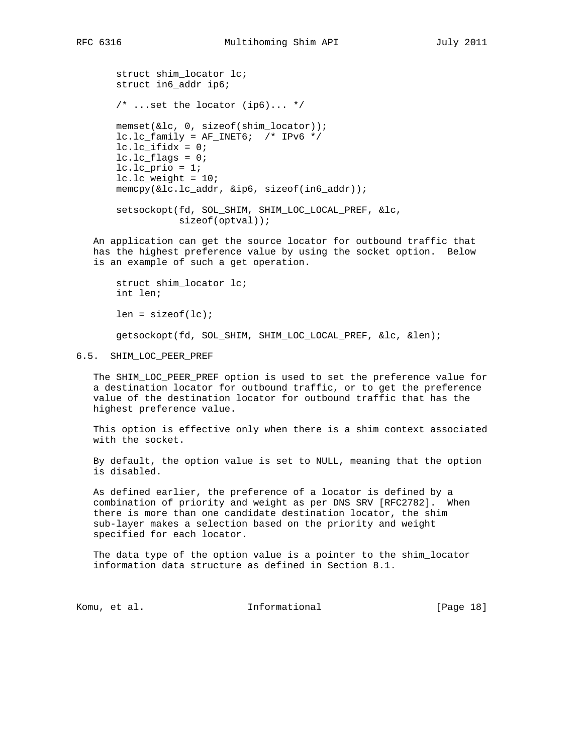struct shim\_locator lc; struct in6\_addr ip6; /\* ...set the locator (ip6)... \*/ memset(&lc, 0, sizeof(shim\_locator));  $lc.lc_family = AF_INET6;$  /\* IPv6 \*/  $lc.lc_lifidx = 0;$  $lc.lc_f$ lags = 0;  $lc.lc\_prio = 1;$  $lc.lc_weight = 10;$  memcpy(&lc.lc\_addr, &ip6, sizeof(in6\_addr)); setsockopt(fd, SOL\_SHIM, SHIM\_LOC\_LOCAL\_PREF, &lc, sizeof(optval));

 An application can get the source locator for outbound traffic that has the highest preference value by using the socket option. Below is an example of such a get operation.

 struct shim\_locator lc; int len;  $len = sizeof(lc);$ getsockopt(fd, SOL\_SHIM, SHIM\_LOC\_LOCAL\_PREF, &lc, &len);

6.5. SHIM\_LOC\_PEER\_PREF

 The SHIM\_LOC\_PEER\_PREF option is used to set the preference value for a destination locator for outbound traffic, or to get the preference value of the destination locator for outbound traffic that has the highest preference value.

 This option is effective only when there is a shim context associated with the socket.

 By default, the option value is set to NULL, meaning that the option is disabled.

 As defined earlier, the preference of a locator is defined by a combination of priority and weight as per DNS SRV [RFC2782]. When there is more than one candidate destination locator, the shim sub-layer makes a selection based on the priority and weight specified for each locator.

 The data type of the option value is a pointer to the shim\_locator information data structure as defined in Section 8.1.

Komu, et al. 10. Informational 1. [Page 18]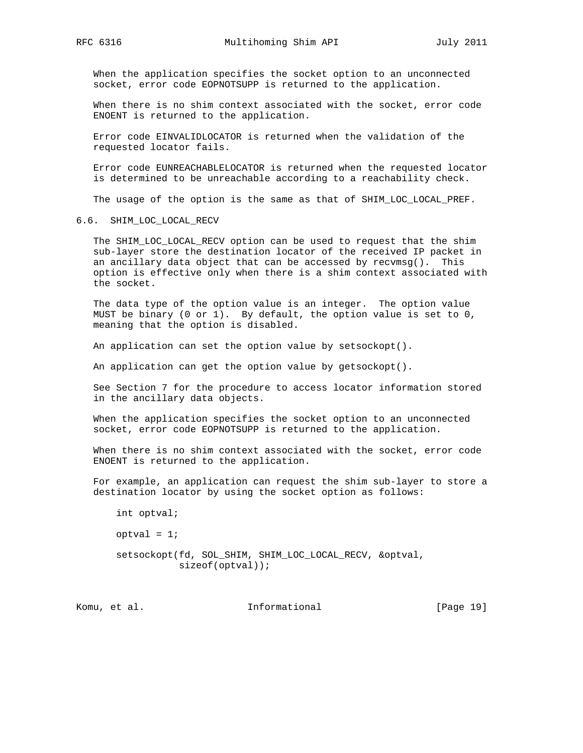When the application specifies the socket option to an unconnected socket, error code EOPNOTSUPP is returned to the application.

 When there is no shim context associated with the socket, error code ENOENT is returned to the application.

 Error code EINVALIDLOCATOR is returned when the validation of the requested locator fails.

 Error code EUNREACHABLELOCATOR is returned when the requested locator is determined to be unreachable according to a reachability check.

The usage of the option is the same as that of SHIM\_LOC\_LOCAL\_PREF.

## 6.6. SHIM\_LOC\_LOCAL\_RECV

 The SHIM\_LOC\_LOCAL\_RECV option can be used to request that the shim sub-layer store the destination locator of the received IP packet in an ancillary data object that can be accessed by recvmsg(). This option is effective only when there is a shim context associated with the socket.

 The data type of the option value is an integer. The option value MUST be binary (0 or 1). By default, the option value is set to 0, meaning that the option is disabled.

An application can set the option value by setsockopt().

An application can get the option value by getsockopt().

 See Section 7 for the procedure to access locator information stored in the ancillary data objects.

 When the application specifies the socket option to an unconnected socket, error code EOPNOTSUPP is returned to the application.

 When there is no shim context associated with the socket, error code ENOENT is returned to the application.

 For example, an application can request the shim sub-layer to store a destination locator by using the socket option as follows:

 int optval;  $optval = 1;$  setsockopt(fd, SOL\_SHIM, SHIM\_LOC\_LOCAL\_RECV, &optval, sizeof(optval));

Komu, et al. 10. Informational 1. [Page 19]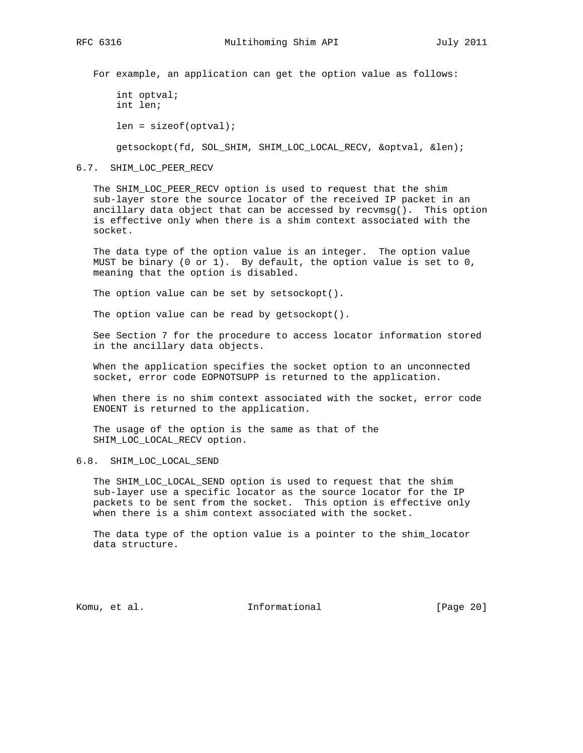For example, an application can get the option value as follows:

 int optval; int len; len = sizeof(optval);

getsockopt(fd, SOL\_SHIM, SHIM\_LOC\_LOCAL\_RECV, &optval, &len);

6.7. SHIM\_LOC\_PEER\_RECV

 The SHIM\_LOC\_PEER\_RECV option is used to request that the shim sub-layer store the source locator of the received IP packet in an ancillary data object that can be accessed by recvmsg(). This option is effective only when there is a shim context associated with the socket.

 The data type of the option value is an integer. The option value MUST be binary (0 or 1). By default, the option value is set to 0, meaning that the option is disabled.

The option value can be set by setsockopt().

The option value can be read by getsockopt().

 See Section 7 for the procedure to access locator information stored in the ancillary data objects.

 When the application specifies the socket option to an unconnected socket, error code EOPNOTSUPP is returned to the application.

 When there is no shim context associated with the socket, error code ENOENT is returned to the application.

 The usage of the option is the same as that of the SHIM\_LOC\_LOCAL\_RECV option.

# 6.8. SHIM\_LOC\_LOCAL\_SEND

 The SHIM\_LOC\_LOCAL\_SEND option is used to request that the shim sub-layer use a specific locator as the source locator for the IP packets to be sent from the socket. This option is effective only when there is a shim context associated with the socket.

 The data type of the option value is a pointer to the shim\_locator data structure.

Komu, et al. 10 millional 11 million and Theorem at Informational (Page 20)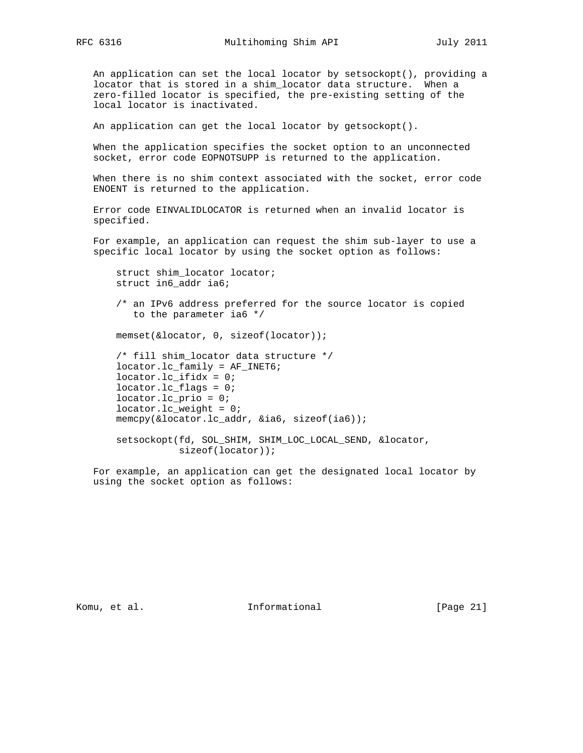An application can set the local locator by setsockopt(), providing a locator that is stored in a shim\_locator data structure. When a zero-filled locator is specified, the pre-existing setting of the local locator is inactivated.

An application can get the local locator by getsockopt().

 When the application specifies the socket option to an unconnected socket, error code EOPNOTSUPP is returned to the application.

 When there is no shim context associated with the socket, error code ENOENT is returned to the application.

 Error code EINVALIDLOCATOR is returned when an invalid locator is specified.

 For example, an application can request the shim sub-layer to use a specific local locator by using the socket option as follows:

 struct shim\_locator locator; struct in6\_addr ia6;

 /\* an IPv6 address preferred for the source locator is copied to the parameter ia6 \*/

memset(&locator, 0, sizeof(locator));

 /\* fill shim\_locator data structure \*/ locator.lc\_family = AF\_INET6; locator.lc\_ifidx = 0; locator. lc flags =  $0$ ; locator.lc\_prio = 0; locator.lc\_weight = 0; memcpy(&locator.lc\_addr, &ia6, sizeof(ia6));

 setsockopt(fd, SOL\_SHIM, SHIM\_LOC\_LOCAL\_SEND, &locator, sizeof(locator));

 For example, an application can get the designated local locator by using the socket option as follows:

Komu, et al. 10 millional 11 million and Theorem at 10 million and 10 million and 10 million and 10 million and 10 million and 10 million and 10 million and 10 million and 10 million and 10 million and 10 million and 10 mi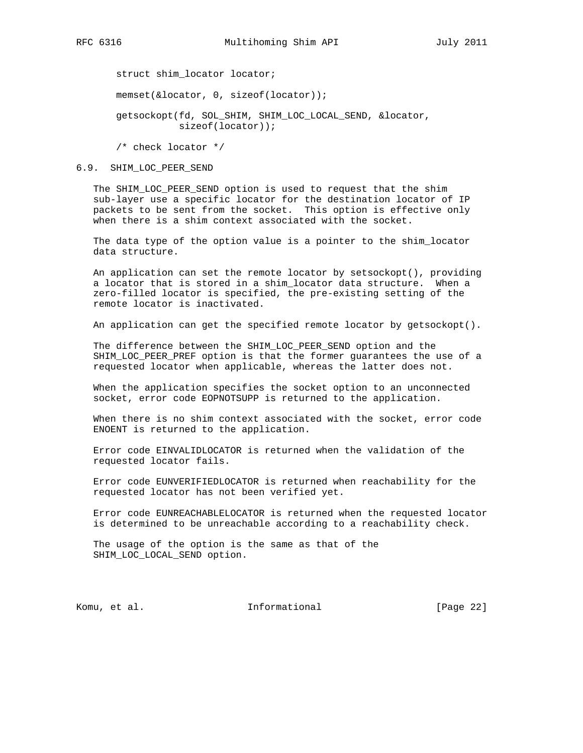struct shim\_locator locator; memset(&locator, 0, sizeof(locator)); getsockopt(fd, SOL\_SHIM, SHIM\_LOC\_LOCAL\_SEND, &locator, sizeof(locator));

/\* check locator \*/

#### 6.9. SHIM\_LOC\_PEER\_SEND

 The SHIM\_LOC\_PEER\_SEND option is used to request that the shim sub-layer use a specific locator for the destination locator of IP packets to be sent from the socket. This option is effective only when there is a shim context associated with the socket.

 The data type of the option value is a pointer to the shim\_locator data structure.

 An application can set the remote locator by setsockopt(), providing a locator that is stored in a shim\_locator data structure. When a zero-filled locator is specified, the pre-existing setting of the remote locator is inactivated.

An application can get the specified remote locator by getsockopt().

 The difference between the SHIM\_LOC\_PEER\_SEND option and the SHIM\_LOC\_PEER\_PREF option is that the former guarantees the use of a requested locator when applicable, whereas the latter does not.

 When the application specifies the socket option to an unconnected socket, error code EOPNOTSUPP is returned to the application.

 When there is no shim context associated with the socket, error code ENOENT is returned to the application.

 Error code EINVALIDLOCATOR is returned when the validation of the requested locator fails.

 Error code EUNVERIFIEDLOCATOR is returned when reachability for the requested locator has not been verified yet.

 Error code EUNREACHABLELOCATOR is returned when the requested locator is determined to be unreachable according to a reachability check.

 The usage of the option is the same as that of the SHIM\_LOC\_LOCAL\_SEND option.

Komu, et al. 10 millionational [Page 22]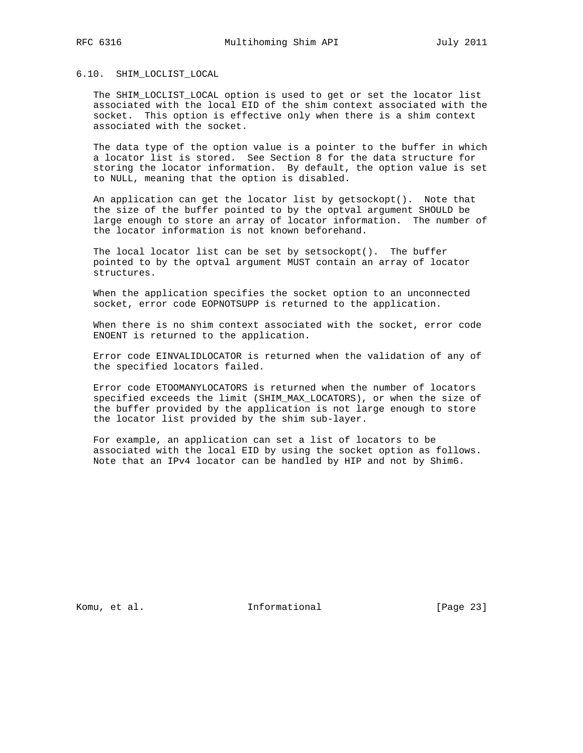#### 6.10. SHIM\_LOCLIST\_LOCAL

 The SHIM\_LOCLIST\_LOCAL option is used to get or set the locator list associated with the local EID of the shim context associated with the socket. This option is effective only when there is a shim context associated with the socket.

 The data type of the option value is a pointer to the buffer in which a locator list is stored. See Section 8 for the data structure for storing the locator information. By default, the option value is set to NULL, meaning that the option is disabled.

 An application can get the locator list by getsockopt(). Note that the size of the buffer pointed to by the optval argument SHOULD be large enough to store an array of locator information. The number of the locator information is not known beforehand.

 The local locator list can be set by setsockopt(). The buffer pointed to by the optval argument MUST contain an array of locator structures.

 When the application specifies the socket option to an unconnected socket, error code EOPNOTSUPP is returned to the application.

 When there is no shim context associated with the socket, error code ENOENT is returned to the application.

 Error code EINVALIDLOCATOR is returned when the validation of any of the specified locators failed.

 Error code ETOOMANYLOCATORS is returned when the number of locators specified exceeds the limit (SHIM\_MAX\_LOCATORS), or when the size of the buffer provided by the application is not large enough to store the locator list provided by the shim sub-layer.

 For example, an application can set a list of locators to be associated with the local EID by using the socket option as follows. Note that an IPv4 locator can be handled by HIP and not by Shim6.

Komu, et al. 10. Informational 1. [Page 23]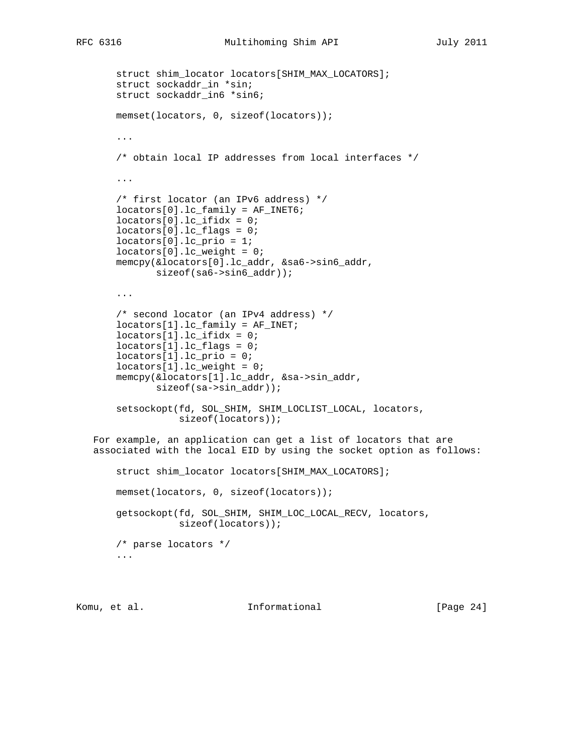```
 struct shim_locator locators[SHIM_MAX_LOCATORS];
       struct sockaddr_in *sin;
       struct sockaddr_in6 *sin6;
       memset(locators, 0, sizeof(locators));
        ...
        /* obtain local IP addresses from local interfaces */
 ...
        /* first locator (an IPv6 address) */
        locators[0].lc_family = AF_INET6;
        locators[0].lc_ifidx = 0;
       locators[0].lc_flags = 0;
       locators[0].lc_prio = 1;
       locators[0].lc_weight = 0;
       memcpy(&locators[0].lc_addr, &sa6->sin6_addr,
               sizeof(sa6->sin6_addr));
        ...
        /* second locator (an IPv4 address) */
       locators[1].lc_family = AF_INET;
       locators[1].lc\_ifidx = 0; locators[1].lc_flags = 0;
       locators[1].lc_prio = 0;
       locators[1].lc_weight = 0;
       memcpy(&locators[1].lc_addr, &sa->sin_addr,
               sizeof(sa->sin_addr));
       setsockopt(fd, SOL_SHIM, SHIM_LOCLIST_LOCAL, locators,
                   sizeof(locators));
   For example, an application can get a list of locators that are
   associated with the local EID by using the socket option as follows:
       struct shim_locator locators[SHIM_MAX_LOCATORS];
       memset(locators, 0, sizeof(locators));
       getsockopt(fd, SOL_SHIM, SHIM_LOC_LOCAL_RECV, locators,
                  sizeof(locators));
       /* parse locators */
        ...
```
Komu, et al. 10 1nformational 111 [Page 24]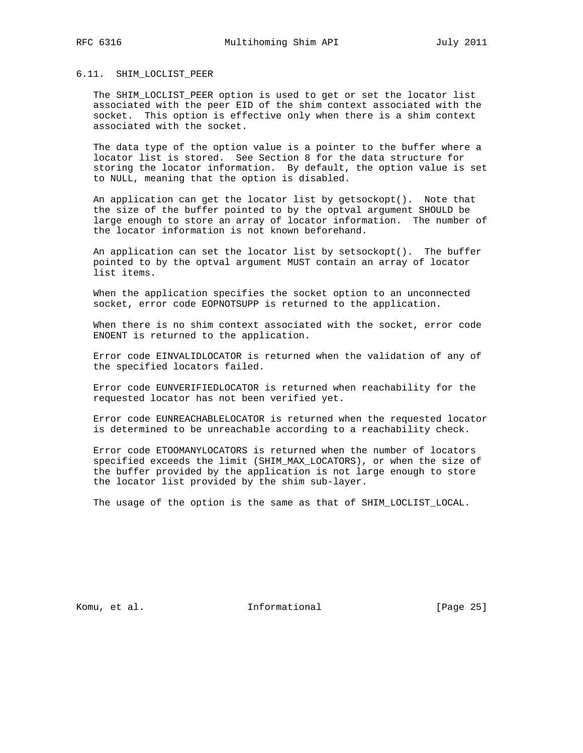# 6.11. SHIM\_LOCLIST\_PEER

 The SHIM\_LOCLIST\_PEER option is used to get or set the locator list associated with the peer EID of the shim context associated with the socket. This option is effective only when there is a shim context associated with the socket.

 The data type of the option value is a pointer to the buffer where a locator list is stored. See Section 8 for the data structure for storing the locator information. By default, the option value is set to NULL, meaning that the option is disabled.

 An application can get the locator list by getsockopt(). Note that the size of the buffer pointed to by the optval argument SHOULD be large enough to store an array of locator information. The number of the locator information is not known beforehand.

 An application can set the locator list by setsockopt(). The buffer pointed to by the optval argument MUST contain an array of locator list items.

 When the application specifies the socket option to an unconnected socket, error code EOPNOTSUPP is returned to the application.

 When there is no shim context associated with the socket, error code ENOENT is returned to the application.

 Error code EINVALIDLOCATOR is returned when the validation of any of the specified locators failed.

 Error code EUNVERIFIEDLOCATOR is returned when reachability for the requested locator has not been verified yet.

 Error code EUNREACHABLELOCATOR is returned when the requested locator is determined to be unreachable according to a reachability check.

 Error code ETOOMANYLOCATORS is returned when the number of locators specified exceeds the limit (SHIM\_MAX\_LOCATORS), or when the size of the buffer provided by the application is not large enough to store the locator list provided by the shim sub-layer.

The usage of the option is the same as that of SHIM\_LOCLIST\_LOCAL.

Komu, et al. 10. Informational 1. [Page 25]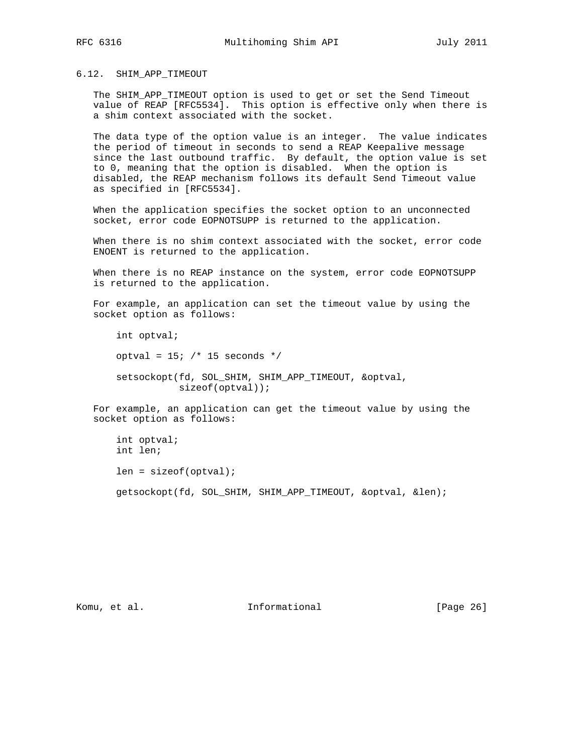## 6.12. SHIM\_APP\_TIMEOUT

 The SHIM\_APP\_TIMEOUT option is used to get or set the Send Timeout value of REAP [RFC5534]. This option is effective only when there is a shim context associated with the socket.

 The data type of the option value is an integer. The value indicates the period of timeout in seconds to send a REAP Keepalive message since the last outbound traffic. By default, the option value is set to 0, meaning that the option is disabled. When the option is disabled, the REAP mechanism follows its default Send Timeout value as specified in [RFC5534].

 When the application specifies the socket option to an unconnected socket, error code EOPNOTSUPP is returned to the application.

 When there is no shim context associated with the socket, error code ENOENT is returned to the application.

 When there is no REAP instance on the system, error code EOPNOTSUPP is returned to the application.

 For example, an application can set the timeout value by using the socket option as follows:

 int optval; optval =  $15$ ; /\* 15 seconds \*/ setsockopt(fd, SOL\_SHIM, SHIM\_APP\_TIMEOUT, &optval, sizeof(optval));

 For example, an application can get the timeout value by using the socket option as follows:

 int optval; int len; len = sizeof(optval); getsockopt(fd, SOL\_SHIM, SHIM\_APP\_TIMEOUT, &optval, &len);

Komu, et al. 10 millional 11 million and Theorem at Informational (Page 26)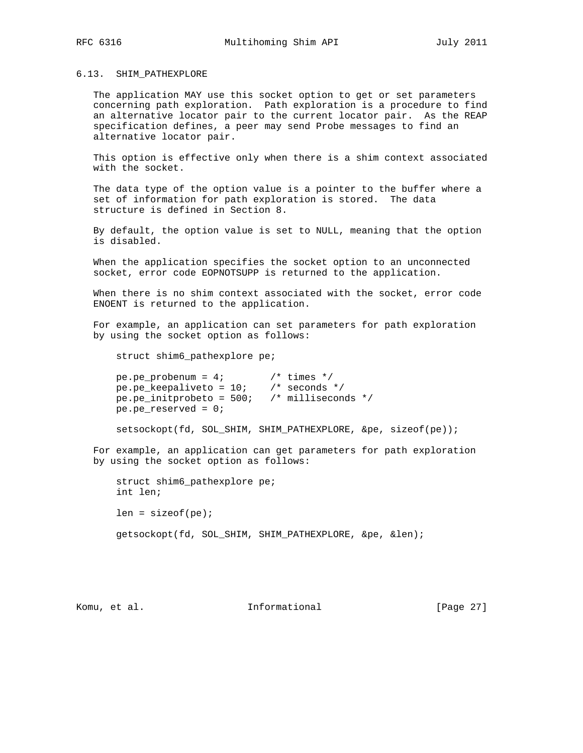#### 6.13. SHIM\_PATHEXPLORE

 The application MAY use this socket option to get or set parameters concerning path exploration. Path exploration is a procedure to find an alternative locator pair to the current locator pair. As the REAP specification defines, a peer may send Probe messages to find an alternative locator pair.

 This option is effective only when there is a shim context associated with the socket.

 The data type of the option value is a pointer to the buffer where a set of information for path exploration is stored. The data structure is defined in Section 8.

 By default, the option value is set to NULL, meaning that the option is disabled.

 When the application specifies the socket option to an unconnected socket, error code EOPNOTSUPP is returned to the application.

 When there is no shim context associated with the socket, error code ENOENT is returned to the application.

 For example, an application can set parameters for path exploration by using the socket option as follows:

struct shim6\_pathexplore pe;

| $pe.pe\_problemum = 47$     | $\prime\star$ times $\star\prime$     |  |
|-----------------------------|---------------------------------------|--|
| pe.pe_keepaliveto = $10i$   | $\prime\prime$ seconds $\prime\prime$ |  |
| $pe.pe\_initprobeto = 500;$ | $\prime$ * milliseconds */            |  |
| pe.pe reserved = $0$ ;      |                                       |  |

setsockopt(fd, SOL\_SHIM, SHIM\_PATHEXPLORE, &pe, sizeof(pe));

 For example, an application can get parameters for path exploration by using the socket option as follows:

 struct shim6\_pathexplore pe; int len;  $len = sizeof(pe);$ getsockopt(fd, SOL\_SHIM, SHIM\_PATHEXPLORE, &pe, &len);

Komu, et al. 10 millional 11 million and Theorem at Informational (Page 27)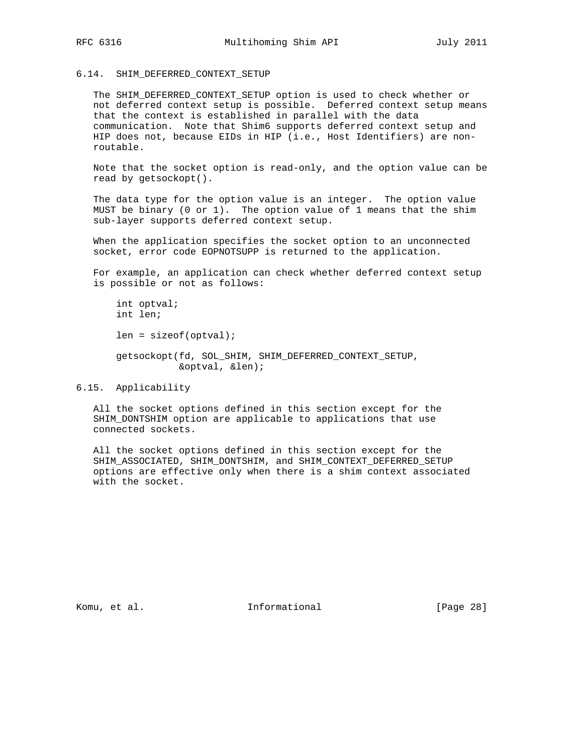## 6.14. SHIM\_DEFERRED\_CONTEXT\_SETUP

 The SHIM\_DEFERRED\_CONTEXT\_SETUP option is used to check whether or not deferred context setup is possible. Deferred context setup means that the context is established in parallel with the data communication. Note that Shim6 supports deferred context setup and HIP does not, because EIDs in HIP (i.e., Host Identifiers) are non routable.

 Note that the socket option is read-only, and the option value can be read by getsockopt().

 The data type for the option value is an integer. The option value MUST be binary (0 or 1). The option value of 1 means that the shim sub-layer supports deferred context setup.

 When the application specifies the socket option to an unconnected socket, error code EOPNOTSUPP is returned to the application.

 For example, an application can check whether deferred context setup is possible or not as follows:

```
 int optval;
 int len;
 len = sizeof(optval);
 getsockopt(fd, SOL_SHIM, SHIM_DEFERRED_CONTEXT_SETUP,
            &optval, &len);
```
## 6.15. Applicability

 All the socket options defined in this section except for the SHIM DONTSHIM option are applicable to applications that use connected sockets.

 All the socket options defined in this section except for the SHIM\_ASSOCIATED, SHIM\_DONTSHIM, and SHIM\_CONTEXT\_DEFERRED\_SETUP options are effective only when there is a shim context associated with the socket.

Komu, et al. 10 millional 11 million and Theorem at Informational (Page 28)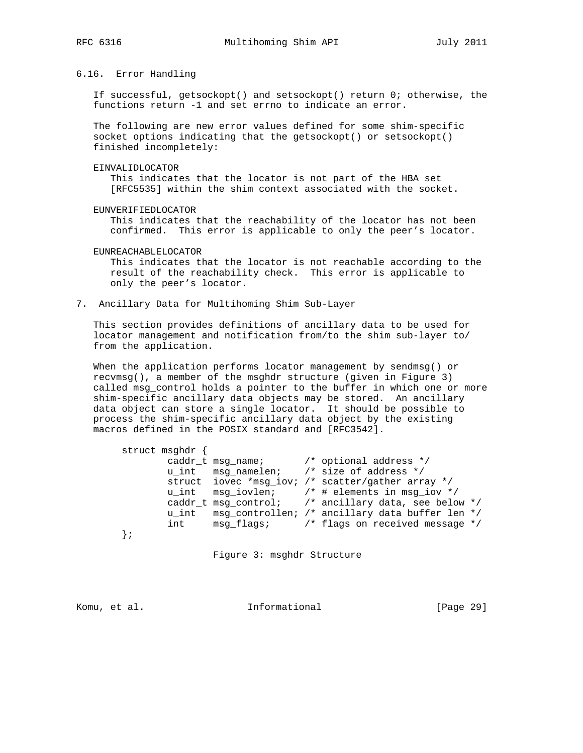6.16. Error Handling

 If successful, getsockopt() and setsockopt() return 0; otherwise, the functions return -1 and set errno to indicate an error.

 The following are new error values defined for some shim-specific socket options indicating that the getsockopt() or setsockopt() finished incompletely:

EINVALIDLOCATOR

 This indicates that the locator is not part of the HBA set [RFC5535] within the shim context associated with the socket.

EUNVERIFIEDLOCATOR

 This indicates that the reachability of the locator has not been confirmed. This error is applicable to only the peer's locator.

EUNREACHABLELOCATOR

 This indicates that the locator is not reachable according to the result of the reachability check. This error is applicable to only the peer's locator.

7. Ancillary Data for Multihoming Shim Sub-Layer

 This section provides definitions of ancillary data to be used for locator management and notification from/to the shim sub-layer to/ from the application.

 When the application performs locator management by sendmsg() or recvmsg(), a member of the msghdr structure (given in Figure 3) called msg\_control holds a pointer to the buffer in which one or more shim-specific ancillary data objects may be stored. An ancillary data object can store a single locator. It should be possible to process the shim-specific ancillary data object by the existing macros defined in the POSIX standard and [RFC3542].

| struct msghdr { |  |                                                                     |
|-----------------|--|---------------------------------------------------------------------|
|                 |  | caddr t msq name; $\frac{1}{2}$ optional address $\frac{*}{2}$      |
| u int           |  | msq namelen; /* size of address */                                  |
|                 |  | struct iovec *msq iov; /* scatter/gather array */                   |
|                 |  | u_int $msg\_ivlen$ ; /* # elements in msq iov */                    |
|                 |  | caddr t msg control; /* ancillary data, see below */                |
| u int           |  | msg_controllen; /* ancillary data buffer len */                     |
| int             |  | msg flags; $\overline{\phantom{a}}$ /* flags on received message */ |
|                 |  |                                                                     |
|                 |  |                                                                     |

Figure 3: msghdr Structure

Komu, et al. 10 millional 11 million and Theorem at Informational (Page 29)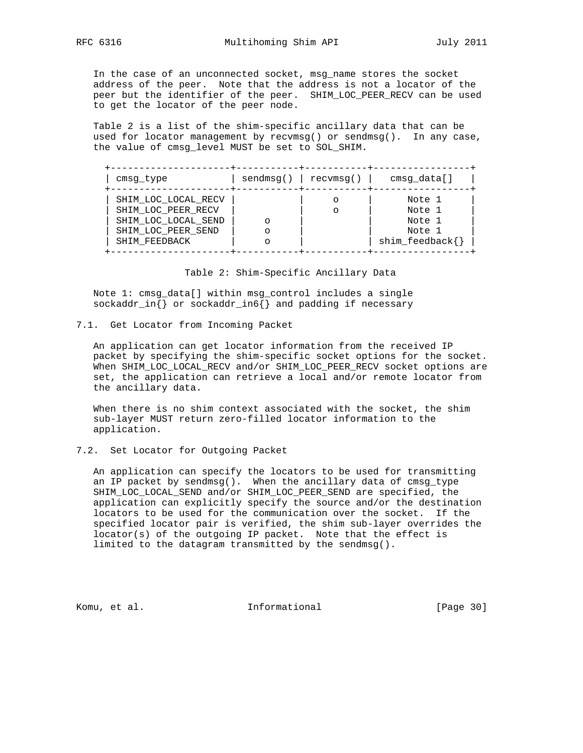In the case of an unconnected socket, msg\_name stores the socket address of the peer. Note that the address is not a locator of the peer but the identifier of the peer. SHIM\_LOC\_PEER\_RECV can be used to get the locator of the peer node.

 Table 2 is a list of the shim-specific ancillary data that can be used for locator management by recvmsg() or sendmsg(). In any case, the value of cmsg\_level MUST be set to SOL\_SHIM.

+---------------------+-----------+-----------+-----------------+

| cmsq type                                 | sendmsq() | recvmsq() | cmsq data[]                       |
|-------------------------------------------|-----------|-----------|-----------------------------------|
| SHIM LOC LOCAL RECV<br>SHIM LOC PEER RECV |           |           | Note 1<br>Note 1                  |
| SHIM LOC LOCAL SEND                       |           |           | Note 1                            |
| SHIM LOC PEER SEND<br>SHIM FEEDBACK       |           |           | Note 1<br>$\text{shim\_feedback}$ |
|                                           |           |           |                                   |

Table 2: Shim-Specific Ancillary Data

 Note 1: cmsg\_data[] within msg\_control includes a single sockaddr\_in{} or sockaddr\_in6{} and padding if necessary

7.1. Get Locator from Incoming Packet

 An application can get locator information from the received IP packet by specifying the shim-specific socket options for the socket. When SHIM\_LOC\_LOCAL\_RECV and/or SHIM\_LOC\_PEER\_RECV socket options are set, the application can retrieve a local and/or remote locator from the ancillary data.

 When there is no shim context associated with the socket, the shim sub-layer MUST return zero-filled locator information to the application.

# 7.2. Set Locator for Outgoing Packet

 An application can specify the locators to be used for transmitting an IP packet by sendmsg(). When the ancillary data of cmsg\_type SHIM\_LOC\_LOCAL\_SEND and/or SHIM\_LOC\_PEER\_SEND are specified, the application can explicitly specify the source and/or the destination locators to be used for the communication over the socket. If the specified locator pair is verified, the shim sub-layer overrides the locator(s) of the outgoing IP packet. Note that the effect is limited to the datagram transmitted by the sendmsg().

Komu, et al. Informational [Page 30]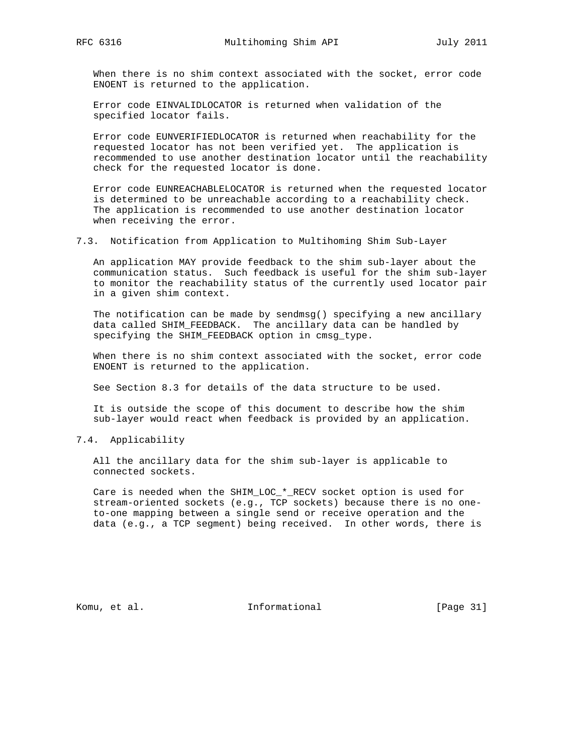When there is no shim context associated with the socket, error code ENOENT is returned to the application.

 Error code EINVALIDLOCATOR is returned when validation of the specified locator fails.

 Error code EUNVERIFIEDLOCATOR is returned when reachability for the requested locator has not been verified yet. The application is recommended to use another destination locator until the reachability check for the requested locator is done.

 Error code EUNREACHABLELOCATOR is returned when the requested locator is determined to be unreachable according to a reachability check. The application is recommended to use another destination locator when receiving the error.

7.3. Notification from Application to Multihoming Shim Sub-Layer

 An application MAY provide feedback to the shim sub-layer about the communication status. Such feedback is useful for the shim sub-layer to monitor the reachability status of the currently used locator pair in a given shim context.

 The notification can be made by sendmsg() specifying a new ancillary data called SHIM\_FEEDBACK. The ancillary data can be handled by specifying the SHIM\_FEEDBACK option in cmsg\_type.

 When there is no shim context associated with the socket, error code ENOENT is returned to the application.

See Section 8.3 for details of the data structure to be used.

 It is outside the scope of this document to describe how the shim sub-layer would react when feedback is provided by an application.

7.4. Applicability

 All the ancillary data for the shim sub-layer is applicable to connected sockets.

 Care is needed when the SHIM\_LOC\_\*\_RECV socket option is used for stream-oriented sockets (e.g., TCP sockets) because there is no one to-one mapping between a single send or receive operation and the data (e.g., a TCP segment) being received. In other words, there is

Komu, et al. 10. Informational [Page 31]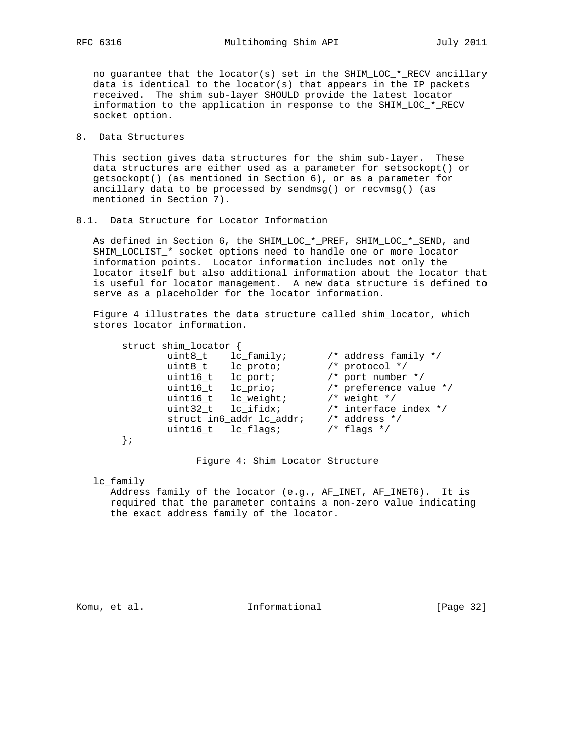no guarantee that the locator(s) set in the SHIM\_LOC\_\*\_RECV ancillary data is identical to the locator(s) that appears in the IP packets received. The shim sub-layer SHOULD provide the latest locator information to the application in response to the SHIM\_LOC\_\*\_RECV socket option.

8. Data Structures

 This section gives data structures for the shim sub-layer. These data structures are either used as a parameter for setsockopt() or getsockopt() (as mentioned in Section 6), or as a parameter for ancillary data to be processed by sendmsg() or recvmsg() (as mentioned in Section 7).

8.1. Data Structure for Locator Information

 As defined in Section 6, the SHIM\_LOC\_\*\_PREF, SHIM\_LOC\_\*\_SEND, and SHIM\_LOCLIST\_\* socket options need to handle one or more locator information points. Locator information includes not only the locator itself but also additional information about the locator that is useful for locator management. A new data structure is defined to serve as a placeholder for the locator information.

 Figure 4 illustrates the data structure called shim\_locator, which stores locator information.

| struct shim_locator |                          |                           |
|---------------------|--------------------------|---------------------------|
| uint8 t             | lc family;               | /* address family */      |
| uint8_t lc_proto;   |                          | $/*$ protocol $*/$        |
| uint16 t            | lc port;                 | /* port number */         |
| uint16 t            | lc prio;                 | /* preference value $*/$  |
|                     | uint16 t lc weight;      | $/*$ weight $*/$          |
| uint32 t lc ifidx;  |                          | $/*$ interface index $*/$ |
|                     | struct in6 addr lc addr; | $/*$ address $*/$         |
| uint16 t lc flags;  |                          | $/*$ flags $*/$           |
|                     |                          |                           |

Figure 4: Shim Locator Structure

lc\_family

 Address family of the locator (e.g., AF\_INET, AF\_INET6). It is required that the parameter contains a non-zero value indicating the exact address family of the locator.

Komu, et al. 10 mm informational 11 mm informational [Page 32]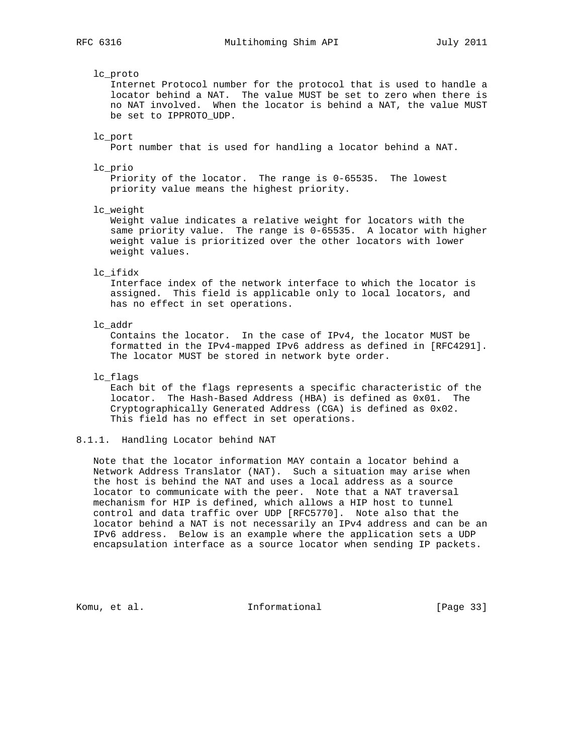## lc\_proto

 Internet Protocol number for the protocol that is used to handle a locator behind a NAT. The value MUST be set to zero when there is no NAT involved. When the locator is behind a NAT, the value MUST be set to IPPROTO\_UDP.

### lc\_port

Port number that is used for handling a locator behind a NAT.

#### lc\_prio

 Priority of the locator. The range is 0-65535. The lowest priority value means the highest priority.

#### lc\_weight

 Weight value indicates a relative weight for locators with the same priority value. The range is 0-65535. A locator with higher weight value is prioritized over the other locators with lower weight values.

### lc\_ifidx

 Interface index of the network interface to which the locator is assigned. This field is applicable only to local locators, and has no effect in set operations.

## lc\_addr

 Contains the locator. In the case of IPv4, the locator MUST be formatted in the IPv4-mapped IPv6 address as defined in [RFC4291]. The locator MUST be stored in network byte order.

## lc\_flags

 Each bit of the flags represents a specific characteristic of the locator. The Hash-Based Address (HBA) is defined as 0x01. The Cryptographically Generated Address (CGA) is defined as 0x02. This field has no effect in set operations.

## 8.1.1. Handling Locator behind NAT

 Note that the locator information MAY contain a locator behind a Network Address Translator (NAT). Such a situation may arise when the host is behind the NAT and uses a local address as a source locator to communicate with the peer. Note that a NAT traversal mechanism for HIP is defined, which allows a HIP host to tunnel control and data traffic over UDP [RFC5770]. Note also that the locator behind a NAT is not necessarily an IPv4 address and can be an IPv6 address. Below is an example where the application sets a UDP encapsulation interface as a source locator when sending IP packets.

Komu, et al. 10. Informational 1. [Page 33]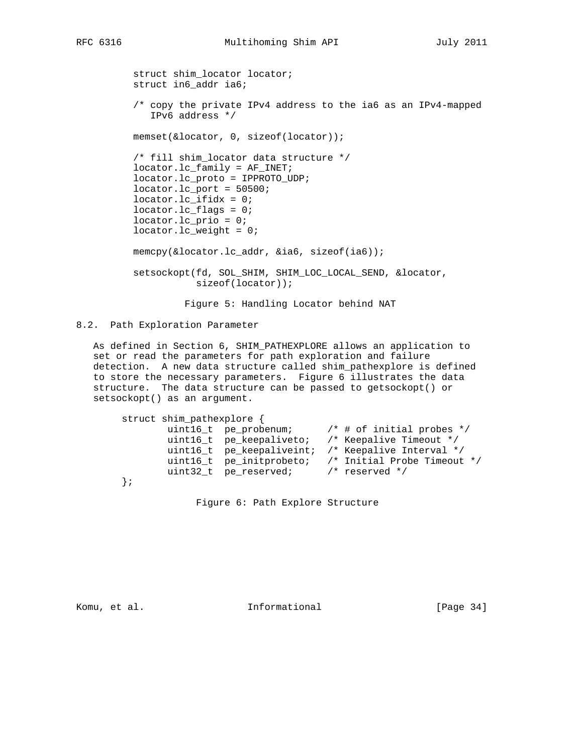struct shim\_locator locator; struct in6\_addr ia6; /\* copy the private IPv4 address to the ia6 as an IPv4-mapped IPv6 address \*/ memset(&locator, 0, sizeof(locator)); /\* fill shim\_locator data structure \*/ locator.lc\_family = AF\_INET; locator.lc\_proto = IPPROTO\_UDP;  $location.lc\_port = 50500$ ; locator.lc\_ifidx = 0; locator.lc\_flags = 0; locator.lc\_prio = 0; locator.lc\_weight = 0; memcpy(&locator.lc\_addr, &ia6, sizeof(ia6)); setsockopt(fd, SOL\_SHIM, SHIM\_LOC\_LOCAL\_SEND, &locator, sizeof(locator));

Figure 5: Handling Locator behind NAT

8.2. Path Exploration Parameter

 As defined in Section 6, SHIM\_PATHEXPLORE allows an application to set or read the parameters for path exploration and failure detection. A new data structure called shim\_pathexplore is defined to store the necessary parameters. Figure 6 illustrates the data structure. The data structure can be passed to getsockopt() or setsockopt() as an argument.

struct shim\_pathexplore {<br>uint16\_t pe\_probenum; uint16\_t pe\_probenum; /\* # of initial probes \*/ uint16\_t pe\_keepaliveto; /\* Keepalive Timeout \*/ uint16\_t pe\_keepaliveint; /\* Keepalive Interval \*/ uint16\_t pe\_initprobeto; /\* Initial Probe Timeout \*/ uint32\_t pe\_reserved; /\* reserved \*/ };

Figure 6: Path Explore Structure

Komu, et al. 10 mm informational [Page 34]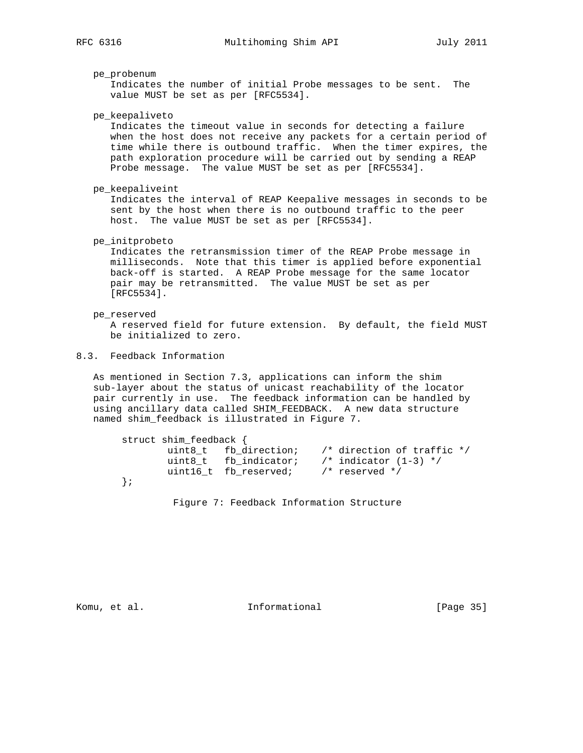pe\_probenum

 Indicates the number of initial Probe messages to be sent. The value MUST be set as per [RFC5534].

pe\_keepaliveto

 Indicates the timeout value in seconds for detecting a failure when the host does not receive any packets for a certain period of time while there is outbound traffic. When the timer expires, the path exploration procedure will be carried out by sending a REAP Probe message. The value MUST be set as per [RFC5534].

pe\_keepaliveint

 Indicates the interval of REAP Keepalive messages in seconds to be sent by the host when there is no outbound traffic to the peer host. The value MUST be set as per [RFC5534].

pe\_initprobeto

 Indicates the retransmission timer of the REAP Probe message in milliseconds. Note that this timer is applied before exponential back-off is started. A REAP Probe message for the same locator pair may be retransmitted. The value MUST be set as per [RFC5534].

pe\_reserved

 A reserved field for future extension. By default, the field MUST be initialized to zero.

# 8.3. Feedback Information

 As mentioned in Section 7.3, applications can inform the shim sub-layer about the status of unicast reachability of the locator pair currently in use. The feedback information can be handled by using ancillary data called SHIM\_FEEDBACK. A new data structure named shim\_feedback is illustrated in Figure 7.

| struct shim_feedback { |                       |                                    |
|------------------------|-----------------------|------------------------------------|
|                        | uint8 t fb direction; | $\prime$ * direction of traffic */ |
|                        | uint8 t fb indicator; | /* indicator $(1-3)$ */            |
|                        | uint16 t fb reserved; | $/*$ reserved $*/$                 |
|                        |                       |                                    |

Figure 7: Feedback Information Structure

Komu, et al. 10. Informational 1. [Page 35]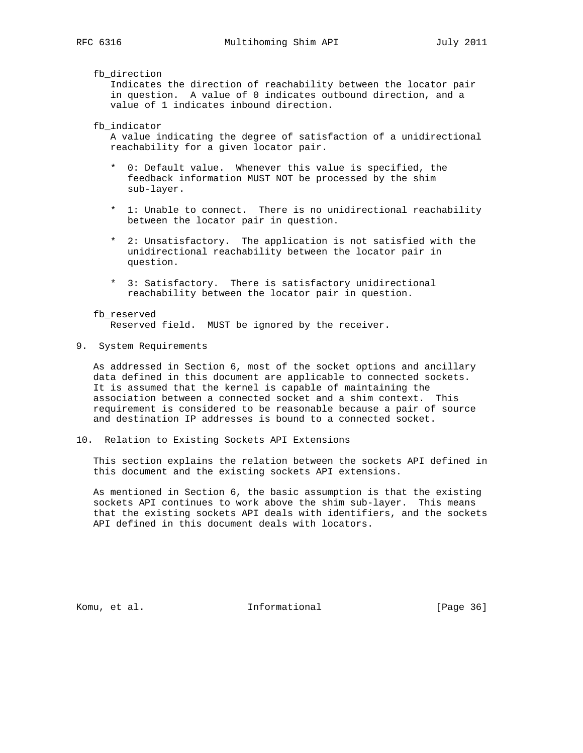fb\_direction

 Indicates the direction of reachability between the locator pair in question. A value of 0 indicates outbound direction, and a value of 1 indicates inbound direction.

fb\_indicator

 A value indicating the degree of satisfaction of a unidirectional reachability for a given locator pair.

- \* 0: Default value. Whenever this value is specified, the feedback information MUST NOT be processed by the shim sub-layer.
- \* 1: Unable to connect. There is no unidirectional reachability between the locator pair in question.
- \* 2: Unsatisfactory. The application is not satisfied with the unidirectional reachability between the locator pair in question.
- \* 3: Satisfactory. There is satisfactory unidirectional reachability between the locator pair in question.
- fb\_reserved Reserved field. MUST be ignored by the receiver.
- 9. System Requirements

 As addressed in Section 6, most of the socket options and ancillary data defined in this document are applicable to connected sockets. It is assumed that the kernel is capable of maintaining the association between a connected socket and a shim context. This requirement is considered to be reasonable because a pair of source and destination IP addresses is bound to a connected socket.

10. Relation to Existing Sockets API Extensions

 This section explains the relation between the sockets API defined in this document and the existing sockets API extensions.

 As mentioned in Section 6, the basic assumption is that the existing sockets API continues to work above the shim sub-layer. This means that the existing sockets API deals with identifiers, and the sockets API defined in this document deals with locators.

Komu, et al. 10 mm = 111 mm = 111 mm = 111 mm = 111 mm = 121 mm = 121 mm = 121 mm = 121 mm = 121 mm = 121 mm = 1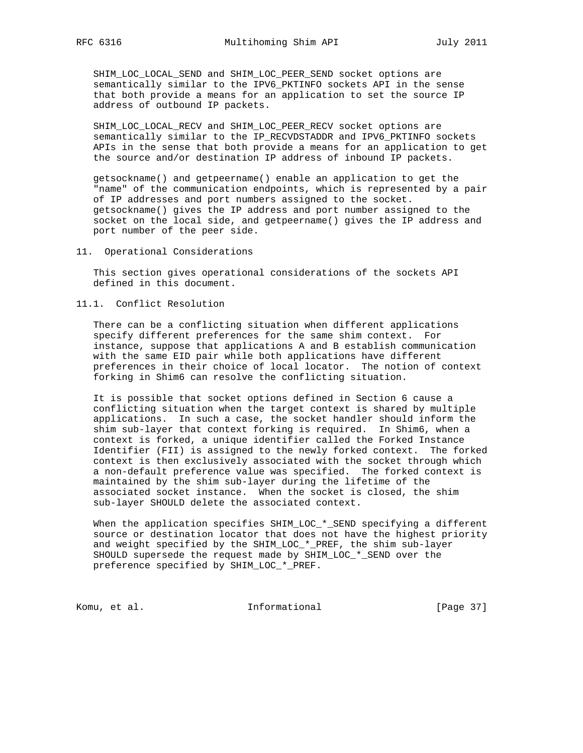SHIM\_LOC\_LOCAL\_SEND and SHIM\_LOC\_PEER\_SEND socket options are semantically similar to the IPV6\_PKTINFO sockets API in the sense that both provide a means for an application to set the source IP address of outbound IP packets.

 SHIM\_LOC\_LOCAL\_RECV and SHIM\_LOC\_PEER\_RECV socket options are semantically similar to the IP\_RECVDSTADDR and IPV6\_PKTINFO sockets APIs in the sense that both provide a means for an application to get the source and/or destination IP address of inbound IP packets.

 getsockname() and getpeername() enable an application to get the "name" of the communication endpoints, which is represented by a pair of IP addresses and port numbers assigned to the socket. getsockname() gives the IP address and port number assigned to the socket on the local side, and getpeername() gives the IP address and port number of the peer side.

11. Operational Considerations

 This section gives operational considerations of the sockets API defined in this document.

11.1. Conflict Resolution

 There can be a conflicting situation when different applications specify different preferences for the same shim context. For instance, suppose that applications A and B establish communication with the same EID pair while both applications have different preferences in their choice of local locator. The notion of context forking in Shim6 can resolve the conflicting situation.

 It is possible that socket options defined in Section 6 cause a conflicting situation when the target context is shared by multiple applications. In such a case, the socket handler should inform the shim sub-layer that context forking is required. In Shim6, when a context is forked, a unique identifier called the Forked Instance Identifier (FII) is assigned to the newly forked context. The forked context is then exclusively associated with the socket through which a non-default preference value was specified. The forked context is maintained by the shim sub-layer during the lifetime of the associated socket instance. When the socket is closed, the shim sub-layer SHOULD delete the associated context.

When the application specifies SHIM\_LOC\_\*\_SEND specifying a different source or destination locator that does not have the highest priority and weight specified by the SHIM\_LOC\_\*\_PREF, the shim sub-layer SHOULD supersede the request made by SHIM\_LOC\_\*\_SEND over the preference specified by SHIM\_LOC\_\*\_PREF.

Komu, et al. 10 1nformational [Page 37]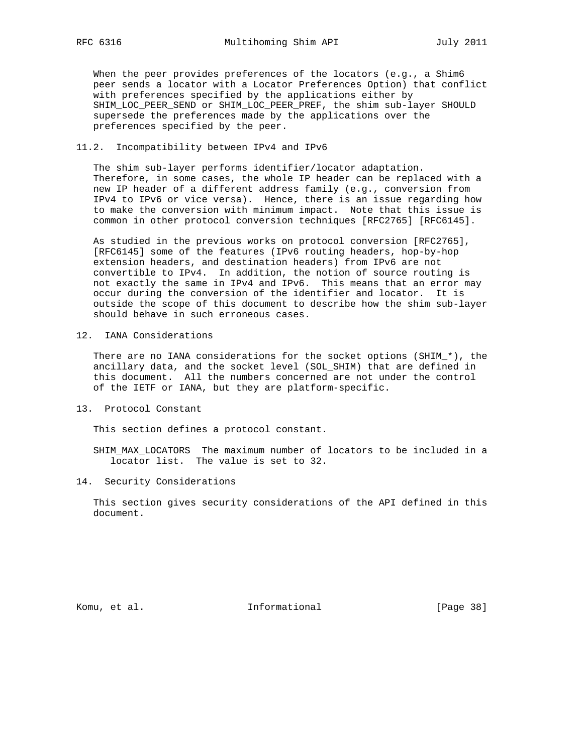When the peer provides preferences of the locators (e.g., a Shim6 peer sends a locator with a Locator Preferences Option) that conflict with preferences specified by the applications either by SHIM\_LOC\_PEER\_SEND or SHIM\_LOC\_PEER\_PREF, the shim sub-layer SHOULD supersede the preferences made by the applications over the preferences specified by the peer.

# 11.2. Incompatibility between IPv4 and IPv6

 The shim sub-layer performs identifier/locator adaptation. Therefore, in some cases, the whole IP header can be replaced with a new IP header of a different address family (e.g., conversion from IPv4 to IPv6 or vice versa). Hence, there is an issue regarding how to make the conversion with minimum impact. Note that this issue is common in other protocol conversion techniques [RFC2765] [RFC6145].

 As studied in the previous works on protocol conversion [RFC2765], [RFC6145] some of the features (IPv6 routing headers, hop-by-hop extension headers, and destination headers) from IPv6 are not convertible to IPv4. In addition, the notion of source routing is not exactly the same in IPv4 and IPv6. This means that an error may occur during the conversion of the identifier and locator. It is outside the scope of this document to describe how the shim sub-layer should behave in such erroneous cases.

12. IANA Considerations

 There are no IANA considerations for the socket options (SHIM\_\*), the ancillary data, and the socket level (SOL\_SHIM) that are defined in this document. All the numbers concerned are not under the control of the IETF or IANA, but they are platform-specific.

13. Protocol Constant

This section defines a protocol constant.

 SHIM\_MAX\_LOCATORS The maximum number of locators to be included in a locator list. The value is set to 32.

14. Security Considerations

 This section gives security considerations of the API defined in this document.

Komu, et al. 10. Informational 1. [Page 38]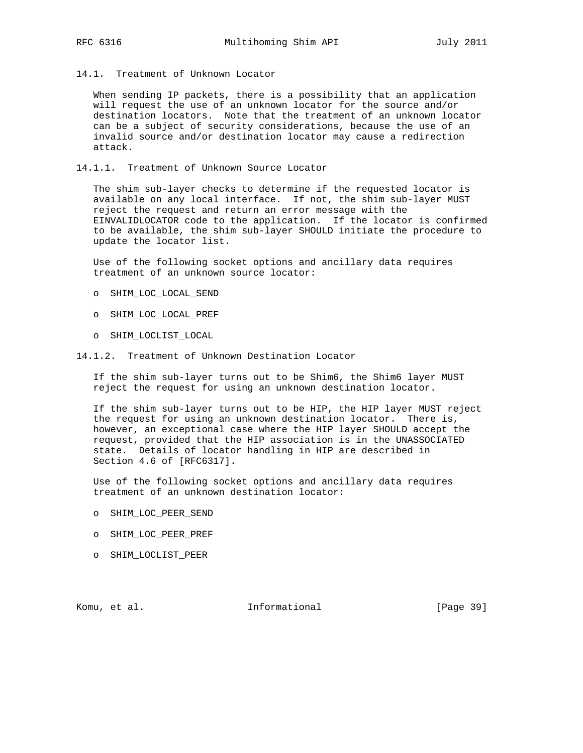14.1. Treatment of Unknown Locator

 When sending IP packets, there is a possibility that an application will request the use of an unknown locator for the source and/or destination locators. Note that the treatment of an unknown locator can be a subject of security considerations, because the use of an invalid source and/or destination locator may cause a redirection attack.

14.1.1. Treatment of Unknown Source Locator

 The shim sub-layer checks to determine if the requested locator is available on any local interface. If not, the shim sub-layer MUST reject the request and return an error message with the EINVALIDLOCATOR code to the application. If the locator is confirmed to be available, the shim sub-layer SHOULD initiate the procedure to update the locator list.

 Use of the following socket options and ancillary data requires treatment of an unknown source locator:

- o SHIM\_LOC\_LOCAL\_SEND
- o SHIM\_LOC\_LOCAL\_PREF
- o SHIM\_LOCLIST\_LOCAL
- 14.1.2. Treatment of Unknown Destination Locator

 If the shim sub-layer turns out to be Shim6, the Shim6 layer MUST reject the request for using an unknown destination locator.

 If the shim sub-layer turns out to be HIP, the HIP layer MUST reject the request for using an unknown destination locator. There is, however, an exceptional case where the HIP layer SHOULD accept the request, provided that the HIP association is in the UNASSOCIATED state. Details of locator handling in HIP are described in Section 4.6 of [RFC6317].

 Use of the following socket options and ancillary data requires treatment of an unknown destination locator:

- o SHIM\_LOC\_PEER\_SEND
- o SHIM\_LOC\_PEER\_PREF
- o SHIM\_LOCLIST\_PEER

Komu, et al. 10. Informational 1. [Page 39]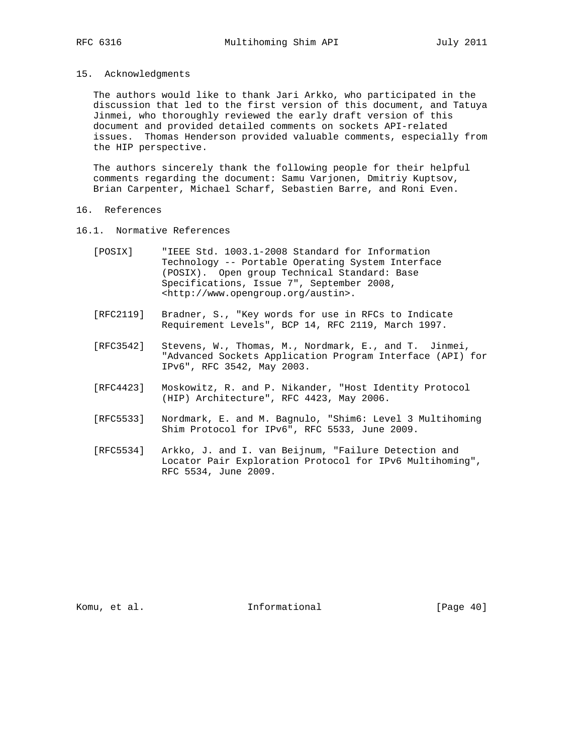#### 15. Acknowledgments

 The authors would like to thank Jari Arkko, who participated in the discussion that led to the first version of this document, and Tatuya Jinmei, who thoroughly reviewed the early draft version of this document and provided detailed comments on sockets API-related issues. Thomas Henderson provided valuable comments, especially from the HIP perspective.

 The authors sincerely thank the following people for their helpful comments regarding the document: Samu Varjonen, Dmitriy Kuptsov, Brian Carpenter, Michael Scharf, Sebastien Barre, and Roni Even.

### 16. References

- 16.1. Normative References
	- [POSIX] "IEEE Std. 1003.1-2008 Standard for Information Technology -- Portable Operating System Interface (POSIX). Open group Technical Standard: Base Specifications, Issue 7", September 2008, <http://www.opengroup.org/austin>.
	- [RFC2119] Bradner, S., "Key words for use in RFCs to Indicate Requirement Levels", BCP 14, RFC 2119, March 1997.
	- [RFC3542] Stevens, W., Thomas, M., Nordmark, E., and T. Jinmei, "Advanced Sockets Application Program Interface (API) for IPv6", RFC 3542, May 2003.
	- [RFC4423] Moskowitz, R. and P. Nikander, "Host Identity Protocol (HIP) Architecture", RFC 4423, May 2006.
	- [RFC5533] Nordmark, E. and M. Bagnulo, "Shim6: Level 3 Multihoming Shim Protocol for IPv6", RFC 5533, June 2009.
	- [RFC5534] Arkko, J. and I. van Beijnum, "Failure Detection and Locator Pair Exploration Protocol for IPv6 Multihoming", RFC 5534, June 2009.

Komu, et al. 10 million informational [Page 40]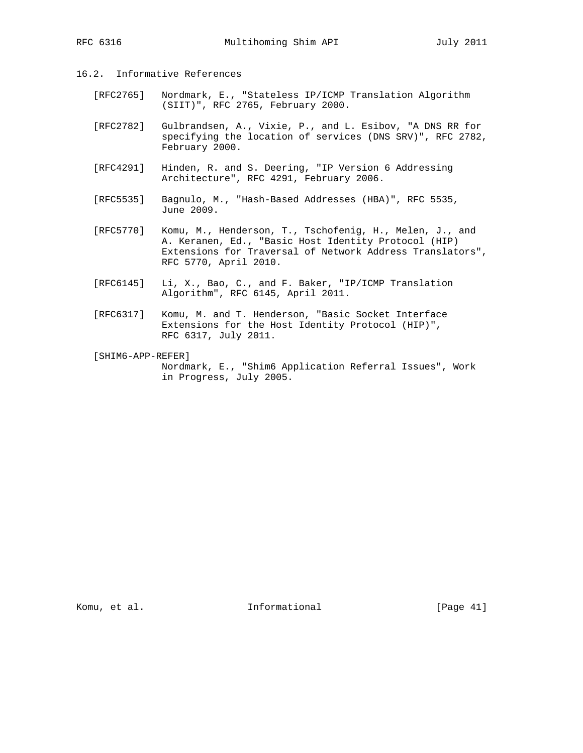# 16.2. Informative References

- [RFC2765] Nordmark, E., "Stateless IP/ICMP Translation Algorithm (SIIT)", RFC 2765, February 2000.
- [RFC2782] Gulbrandsen, A., Vixie, P., and L. Esibov, "A DNS RR for specifying the location of services (DNS SRV)", RFC 2782, February 2000.
- [RFC4291] Hinden, R. and S. Deering, "IP Version 6 Addressing Architecture", RFC 4291, February 2006.
- [RFC5535] Bagnulo, M., "Hash-Based Addresses (HBA)", RFC 5535, June 2009.
- [RFC5770] Komu, M., Henderson, T., Tschofenig, H., Melen, J., and A. Keranen, Ed., "Basic Host Identity Protocol (HIP) Extensions for Traversal of Network Address Translators", RFC 5770, April 2010.
- [RFC6145] Li, X., Bao, C., and F. Baker, "IP/ICMP Translation Algorithm", RFC 6145, April 2011.
- [RFC6317] Komu, M. and T. Henderson, "Basic Socket Interface Extensions for the Host Identity Protocol (HIP)", RFC 6317, July 2011.
- [SHIM6-APP-REFER] Nordmark, E., "Shim6 Application Referral Issues", Work in Progress, July 2005.

Komu, et al. 10. Informational [Page 41]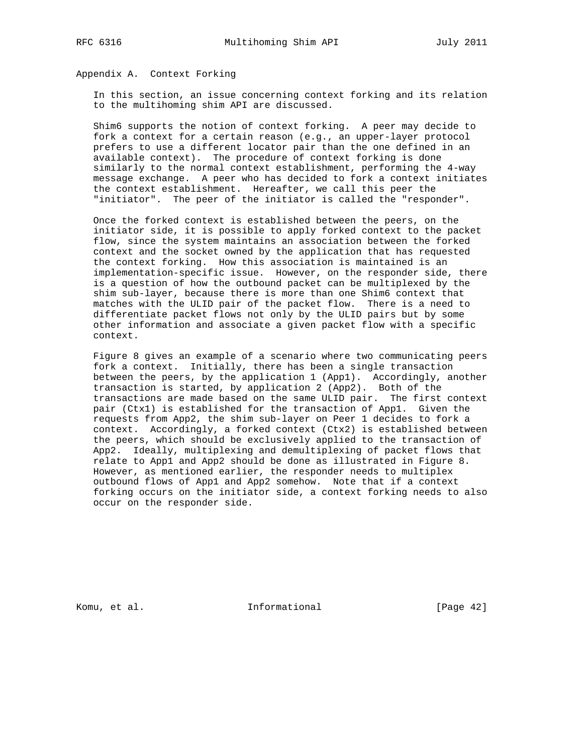# Appendix A. Context Forking

 In this section, an issue concerning context forking and its relation to the multihoming shim API are discussed.

 Shim6 supports the notion of context forking. A peer may decide to fork a context for a certain reason (e.g., an upper-layer protocol prefers to use a different locator pair than the one defined in an available context). The procedure of context forking is done similarly to the normal context establishment, performing the 4-way message exchange. A peer who has decided to fork a context initiates the context establishment. Hereafter, we call this peer the "initiator". The peer of the initiator is called the "responder".

 Once the forked context is established between the peers, on the initiator side, it is possible to apply forked context to the packet flow, since the system maintains an association between the forked context and the socket owned by the application that has requested the context forking. How this association is maintained is an implementation-specific issue. However, on the responder side, there is a question of how the outbound packet can be multiplexed by the shim sub-layer, because there is more than one Shim6 context that matches with the ULID pair of the packet flow. There is a need to differentiate packet flows not only by the ULID pairs but by some other information and associate a given packet flow with a specific context.

 Figure 8 gives an example of a scenario where two communicating peers fork a context. Initially, there has been a single transaction between the peers, by the application 1 (App1). Accordingly, another transaction is started, by application 2 (App2). Both of the transactions are made based on the same ULID pair. The first context pair (Ctx1) is established for the transaction of App1. Given the requests from App2, the shim sub-layer on Peer 1 decides to fork a context. Accordingly, a forked context (Ctx2) is established between the peers, which should be exclusively applied to the transaction of App2. Ideally, multiplexing and demultiplexing of packet flows that relate to App1 and App2 should be done as illustrated in Figure 8. However, as mentioned earlier, the responder needs to multiplex outbound flows of App1 and App2 somehow. Note that if a context forking occurs on the initiator side, a context forking needs to also occur on the responder side.

Komu, et al. 10 millional 11 million and Theorem and Theorem informational contract in the set of  $[Page 42]$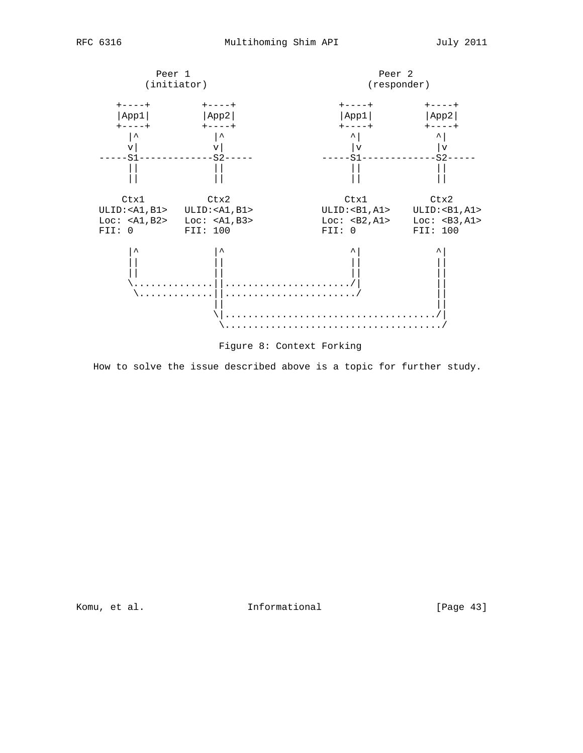

Figure 8: Context Forking

How to solve the issue described above is a topic for further study.

Komu, et al. 10 millional 11 million and Theorem and Theorem and Theorem informational contracts in the IPage 43]